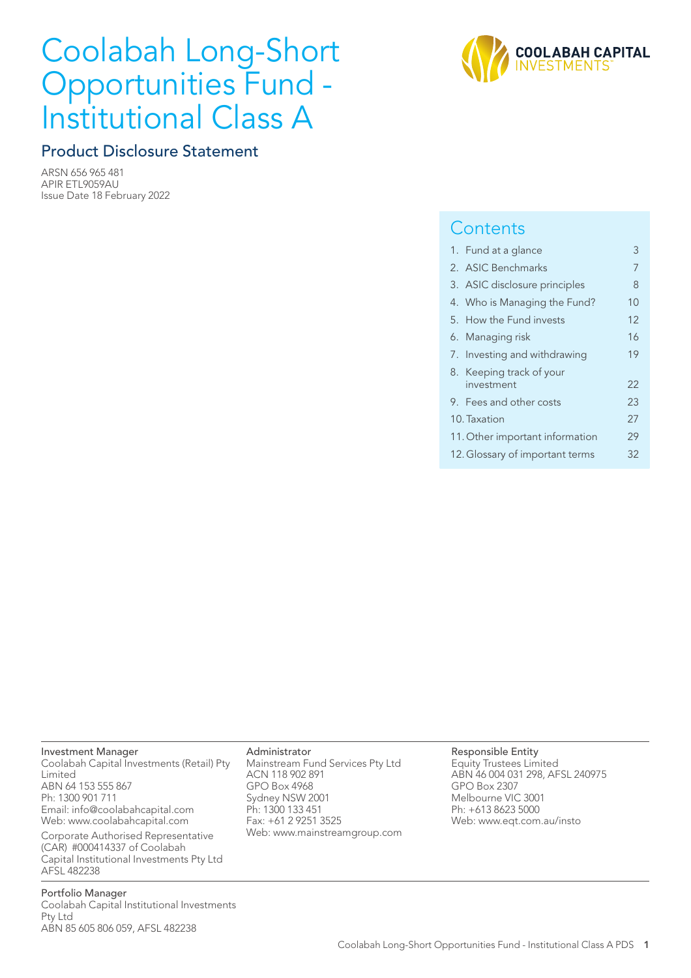# Coolabah Long-Short Opportunities Fund - Institutional Class A

## Product Disclosure Statement

ARSN 656 965 481 APIR ETL9059AU Issue Date 18 February 2022



## **Contents**

|  | 1. Fund at a glance             | 3  |
|--|---------------------------------|----|
|  | 2. ASIC Benchmarks              | 7  |
|  | 3. ASIC disclosure principles   | 8  |
|  | 4. Who is Managing the Fund?    | 10 |
|  | 5. How the Fund invests         | 12 |
|  | 6. Managing risk                | 16 |
|  | 7. Investing and withdrawing    | 19 |
|  | 8. Keeping track of your        |    |
|  | investment                      | 22 |
|  | 9. Fees and other costs         | 23 |
|  | 10. Taxation                    | 27 |
|  | 11. Other important information | 29 |
|  | 12. Glossary of important terms | 32 |
|  |                                 |    |

#### Investment Manager

Coolabah Capital Investments (Retail) Pty Limited ABN 64 153 555 867 Ph: 1300 901 711 Email: info@coolabahcapital.com Web: www.coolabahcapital.com

Corporate Authorised Representative (CAR) #000414337 of Coolabah Capital Institutional Investments Pty Ltd AFSL 482238

Portfolio Manager Coolabah Capital Institutional Investments Pty Ltd ABN 85 605 806 059, AFSL 482238

#### Administrator

Mainstream Fund Services Pty Ltd ACN 118 902 891 GPO Box 4968 Sydney NSW 2001 Ph: 1300 133 451 Fax: +61 2 9251 3525 Web: www.mainstreamgroup.com

#### Responsible Entity Equity Trustees Limited

ABN 46 004 031 298, AFSL 240975 GPO Box 2307 Melbourne VIC 3001 Ph: +613 8623 5000 Web: www.eqt.com.au/insto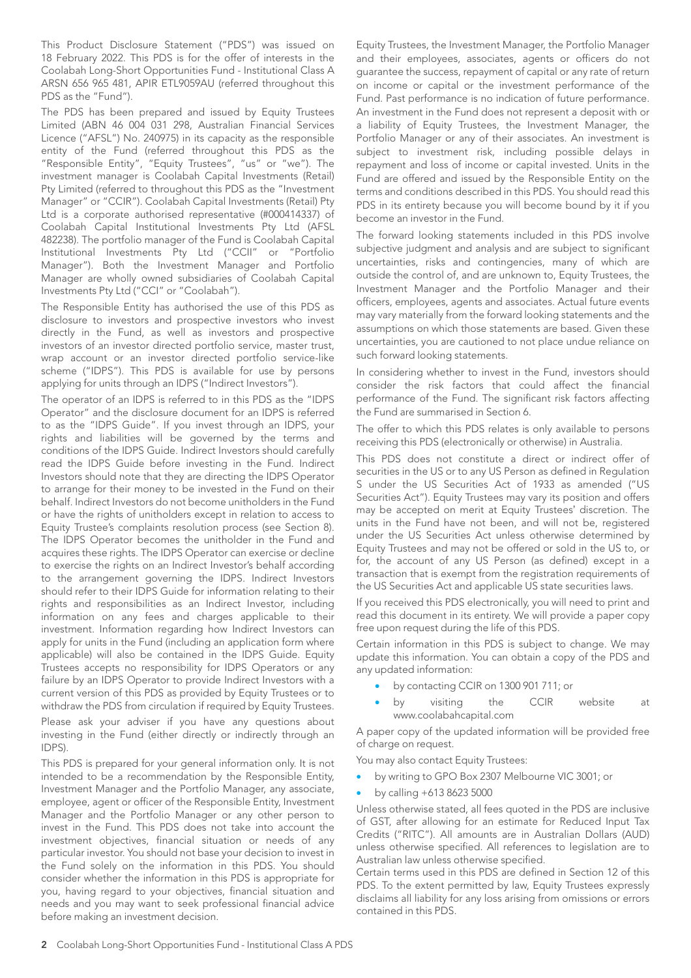This Product Disclosure Statement ("PDS") was issued on 18 February 2022. This PDS is for the offer of interests in the Coolabah Long-Short Opportunities Fund - Institutional Class A ARSN 656 965 481, APIR ETL9059AU (referred throughout this PDS as the "Fund").

The PDS has been prepared and issued by Equity Trustees Limited (ABN 46 004 031 298, Australian Financial Services Licence ("AFSL") No. 240975) in its capacity as the responsible entity of the Fund (referred throughout this PDS as the "Responsible Entity", "Equity Trustees", "us" or "we"). The investment manager is Coolabah Capital Investments (Retail) Pty Limited (referred to throughout this PDS as the "Investment Manager" or "CCIR"). Coolabah Capital Investments (Retail) Pty Ltd is a corporate authorised representative (#000414337) of Coolabah Capital Institutional Investments Pty Ltd (AFSL 482238). The portfolio manager of the Fund is Coolabah Capital Institutional Investments Pty Ltd ("CCII" or "Portfolio Manager"). Both the Investment Manager and Portfolio Manager are wholly owned subsidiaries of Coolabah Capital Investments Pty Ltd ("CCI" or "Coolabah").

The Responsible Entity has authorised the use of this PDS as disclosure to investors and prospective investors who invest directly in the Fund, as well as investors and prospective investors of an investor directed portfolio service, master trust, wrap account or an investor directed portfolio service-like scheme ("IDPS"). This PDS is available for use by persons applying for units through an IDPS ("Indirect Investors").

The operator of an IDPS is referred to in this PDS as the "IDPS Operator" and the disclosure document for an IDPS is referred to as the "IDPS Guide". If you invest through an IDPS, your rights and liabilities will be governed by the terms and conditions of the IDPS Guide. Indirect Investors should carefully read the IDPS Guide before investing in the Fund. Indirect Investors should note that they are directing the IDPS Operator to arrange for their money to be invested in the Fund on their behalf. Indirect Investors do not become unitholders in the Fund or have the rights of unitholders except in relation to access to Equity Trustee's complaints resolution process (see Section 8). The IDPS Operator becomes the unitholder in the Fund and acquires these rights. The IDPS Operator can exercise or decline to exercise the rights on an Indirect Investor's behalf according to the arrangement governing the IDPS. Indirect Investors should refer to their IDPS Guide for information relating to their rights and responsibilities as an Indirect Investor, including information on any fees and charges applicable to their investment. Information regarding how Indirect Investors can apply for units in the Fund (including an application form where applicable) will also be contained in the IDPS Guide. Equity Trustees accepts no responsibility for IDPS Operators or any failure by an IDPS Operator to provide Indirect Investors with a current version of this PDS as provided by Equity Trustees or to withdraw the PDS from circulation if required by Equity Trustees.

Please ask your adviser if you have any questions about investing in the Fund (either directly or indirectly through an IDPS).

This PDS is prepared for your general information only. It is not intended to be a recommendation by the Responsible Entity, Investment Manager and the Portfolio Manager, any associate, employee, agent or officer of the Responsible Entity, Investment Manager and the Portfolio Manager or any other person to invest in the Fund. This PDS does not take into account the investment objectives, financial situation or needs of any particular investor. You should not base your decision to invest in the Fund solely on the information in this PDS. You should consider whether the information in this PDS is appropriate for you, having regard to your objectives, financial situation and needs and you may want to seek professional financial advice before making an investment decision.

Equity Trustees, the Investment Manager, the Portfolio Manager and their employees, associates, agents or officers do not guarantee the success, repayment of capital or any rate of return on income or capital or the investment performance of the Fund. Past performance is no indication of future performance. An investment in the Fund does not represent a deposit with or a liability of Equity Trustees, the Investment Manager, the Portfolio Manager or any of their associates. An investment is subject to investment risk, including possible delays in repayment and loss of income or capital invested. Units in the Fund are offered and issued by the Responsible Entity on the terms and conditions described in this PDS. You should read this PDS in its entirety because you will become bound by it if you become an investor in the Fund.

The forward looking statements included in this PDS involve subjective judgment and analysis and are subject to significant uncertainties, risks and contingencies, many of which are outside the control of, and are unknown to, Equity Trustees, the Investment Manager and the Portfolio Manager and their officers, employees, agents and associates. Actual future events may vary materially from the forward looking statements and the assumptions on which those statements are based. Given these uncertainties, you are cautioned to not place undue reliance on such forward looking statements.

In considering whether to invest in the Fund, investors should consider the risk factors that could affect the financial performance of the Fund. The significant risk factors affecting the Fund are summarised in Section 6.

The offer to which this PDS relates is only available to persons receiving this PDS (electronically or otherwise) in Australia.

This PDS does not constitute a direct or indirect offer of securities in the US or to any US Person as defined in Regulation S under the US Securities Act of 1933 as amended ("US Securities Act"). Equity Trustees may vary its position and offers may be accepted on merit at Equity Trustees' discretion. The units in the Fund have not been, and will not be, registered under the US Securities Act unless otherwise determined by Equity Trustees and may not be offered or sold in the US to, or for, the account of any US Person (as defined) except in a transaction that is exempt from the registration requirements of the US Securities Act and applicable US state securities laws.

If you received this PDS electronically, you will need to print and read this document in its entirety. We will provide a paper copy free upon request during the life of this PDS.

Certain information in this PDS is subject to change. We may update this information. You can obtain a copy of the PDS and any updated information:

- by contacting CCIR on 1300 901 711; or
- by visiting the CCIR website at www.coolabahcapital.com

A paper copy of the updated information will be provided free of charge on request.

You may also contact Equity Trustees:

- by writing to GPO Box 2307 Melbourne VIC 3001; or
- by calling +613 8623 5000

Unless otherwise stated, all fees quoted in the PDS are inclusive of GST, after allowing for an estimate for Reduced Input Tax Credits ("RITC"). All amounts are in Australian Dollars (AUD) unless otherwise specified. All references to legislation are to Australian law unless otherwise specified.

Certain terms used in this PDS are defined in Section 12 of this PDS. To the extent permitted by law, Equity Trustees expressly disclaims all liability for any loss arising from omissions or errors contained in this PDS.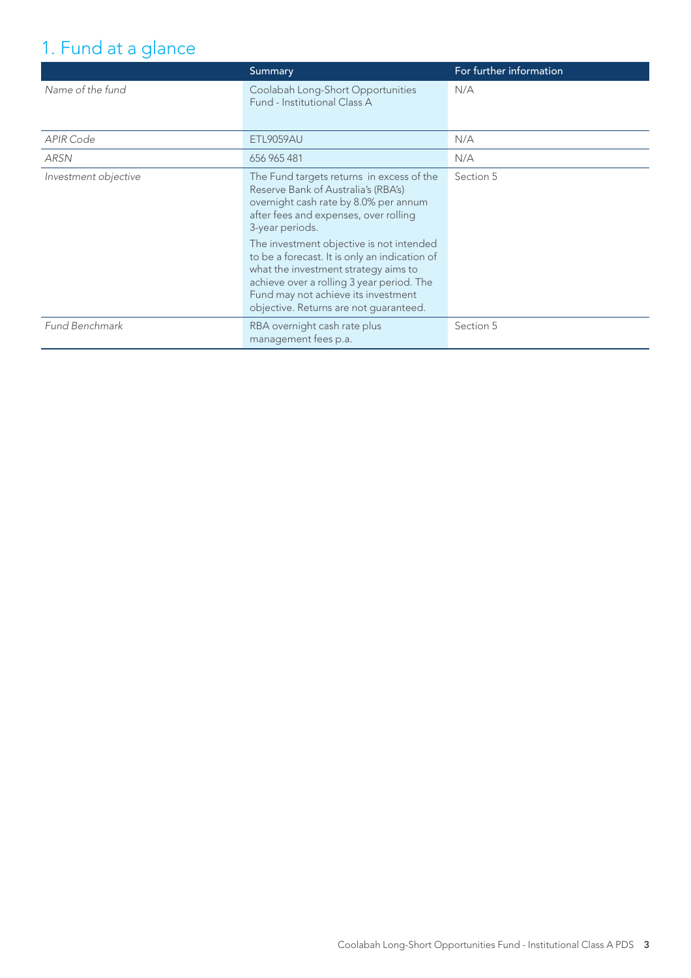## 1. Fund at a glance

|                      | Summary                                                                                                                                                                                                                                                                                                                                                                                                                                                  | For further information |
|----------------------|----------------------------------------------------------------------------------------------------------------------------------------------------------------------------------------------------------------------------------------------------------------------------------------------------------------------------------------------------------------------------------------------------------------------------------------------------------|-------------------------|
| Name of the fund     | Coolabah Long-Short Opportunities<br>Fund - Institutional Class A                                                                                                                                                                                                                                                                                                                                                                                        | N/A                     |
| <b>APIR Code</b>     | <b>ETL9059AU</b>                                                                                                                                                                                                                                                                                                                                                                                                                                         | N/A                     |
| <b>ARSN</b>          | 656 965 481                                                                                                                                                                                                                                                                                                                                                                                                                                              | N/A                     |
| Investment objective | The Fund targets returns in excess of the<br>Reserve Bank of Australia's (RBA's)<br>overnight cash rate by 8.0% per annum<br>after fees and expenses, over rolling<br>3-year periods.<br>The investment objective is not intended<br>to be a forecast. It is only an indication of<br>what the investment strategy aims to<br>achieve over a rolling 3 year period. The<br>Fund may not achieve its investment<br>objective. Returns are not guaranteed. | Section 5               |
| Fund Benchmark       | RBA overnight cash rate plus<br>management fees p.a.                                                                                                                                                                                                                                                                                                                                                                                                     | Section 5               |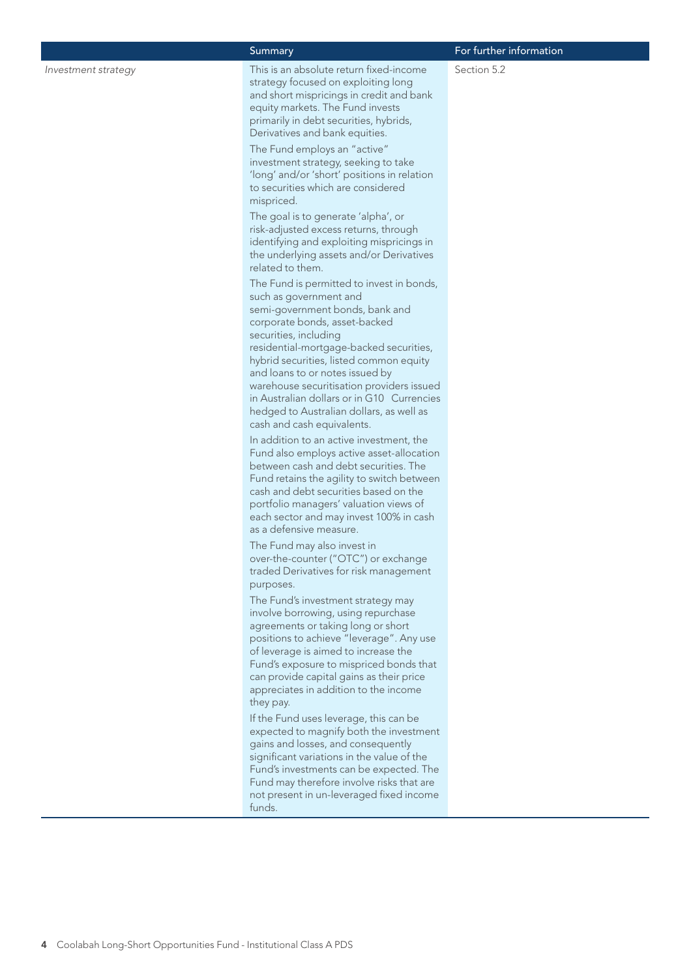*Investment strategy* This is an absolute return fixed-income strategy focused on exploiting long and short mispricings in credit and bank equity markets. The Fund invests primarily in debt securities, hybrids, Derivatives and bank equities.

> The Fund employs an "active" investment strategy, seeking to take 'long' and/or 'short' positions in relation to securities which are considered mispriced.

> The goal is to generate 'alpha', or risk-adjusted excess returns, through identifying and exploiting mispricings in the underlying assets and/or Derivatives related to them.

The Fund is permitted to invest in bonds, such as government and semi-government bonds, bank and corporate bonds, asset-backed securities, including residential-mortgage-backed securities, hybrid securities, listed common equity and loans to or notes issued by warehouse securitisation providers issued in Australian dollars or in G10 Currencies hedged to Australian dollars, as well as cash and cash equivalents.

In addition to an active investment, the Fund also employs active asset-allocation between cash and debt securities. The Fund retains the agility to switch between cash and debt securities based on the portfolio managers' valuation views of each sector and may invest 100% in cash as a defensive measure.

The Fund may also invest in over-the-counter ("OTC") or exchange traded Derivatives for risk management purposes.

The Fund's investment strategy may involve borrowing, using repurchase agreements or taking long or short positions to achieve "leverage". Any use of leverage is aimed to increase the Fund's exposure to mispriced bonds that can provide capital gains as their price appreciates in addition to the income they pay.

If the Fund uses leverage, this can be expected to magnify both the investment gains and losses, and consequently significant variations in the value of the Fund's investments can be expected. The Fund may therefore involve risks that are not present in un-leveraged fixed income funds.

#### Summary **For further information**

Section 5.2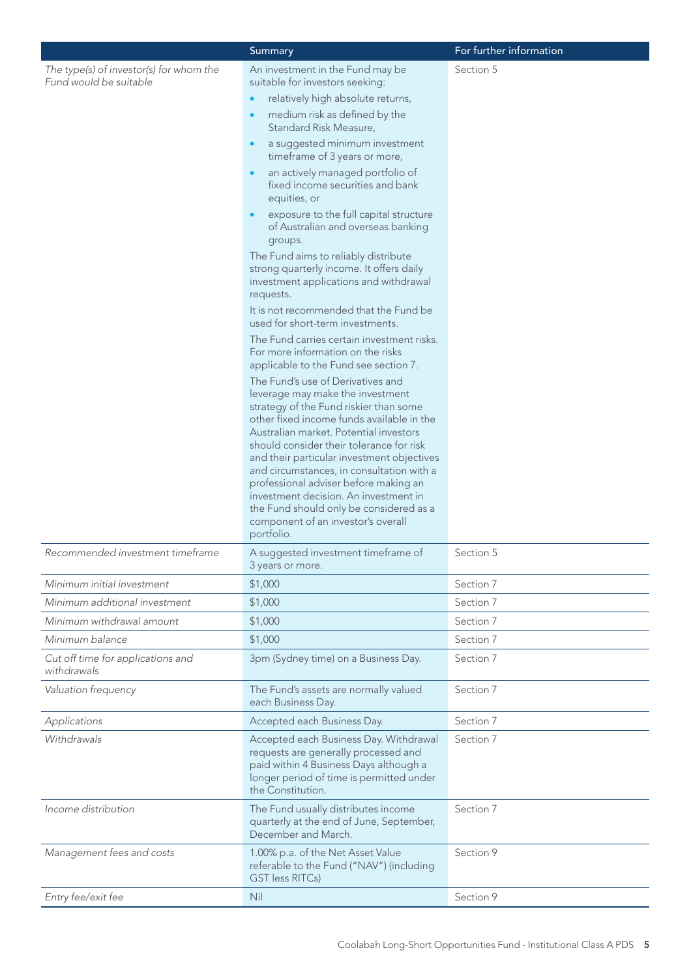|                                                                   | Summary                                                                                                                                                                                                                                                                                                                                                                                                                                                                                                                        | For further information |
|-------------------------------------------------------------------|--------------------------------------------------------------------------------------------------------------------------------------------------------------------------------------------------------------------------------------------------------------------------------------------------------------------------------------------------------------------------------------------------------------------------------------------------------------------------------------------------------------------------------|-------------------------|
| The type(s) of investor(s) for whom the<br>Fund would be suitable | An investment in the Fund may be<br>suitable for investors seeking:                                                                                                                                                                                                                                                                                                                                                                                                                                                            | Section 5               |
|                                                                   | relatively high absolute returns,                                                                                                                                                                                                                                                                                                                                                                                                                                                                                              |                         |
|                                                                   | medium risk as defined by the<br>Standard Risk Measure,                                                                                                                                                                                                                                                                                                                                                                                                                                                                        |                         |
|                                                                   | a suggested minimum investment<br>$\bullet$<br>timeframe of 3 years or more,                                                                                                                                                                                                                                                                                                                                                                                                                                                   |                         |
|                                                                   | an actively managed portfolio of<br>fixed income securities and bank<br>equities, or                                                                                                                                                                                                                                                                                                                                                                                                                                           |                         |
|                                                                   | exposure to the full capital structure<br>of Australian and overseas banking<br>groups.                                                                                                                                                                                                                                                                                                                                                                                                                                        |                         |
|                                                                   | The Fund aims to reliably distribute<br>strong quarterly income. It offers daily<br>investment applications and withdrawal<br>requests.                                                                                                                                                                                                                                                                                                                                                                                        |                         |
|                                                                   | It is not recommended that the Fund be<br>used for short-term investments.                                                                                                                                                                                                                                                                                                                                                                                                                                                     |                         |
|                                                                   | The Fund carries certain investment risks.<br>For more information on the risks<br>applicable to the Fund see section 7.                                                                                                                                                                                                                                                                                                                                                                                                       |                         |
|                                                                   | The Fund's use of Derivatives and<br>leverage may make the investment<br>strategy of the Fund riskier than some<br>other fixed income funds available in the<br>Australian market. Potential investors<br>should consider their tolerance for risk<br>and their particular investment objectives<br>and circumstances, in consultation with a<br>professional adviser before making an<br>investment decision. An investment in<br>the Fund should only be considered as a<br>component of an investor's overall<br>portfolio. |                         |
| Recommended investment timeframe                                  | A suggested investment timeframe of<br>3 years or more.                                                                                                                                                                                                                                                                                                                                                                                                                                                                        | Section 5               |
| Minimum initial investment                                        | \$1,000                                                                                                                                                                                                                                                                                                                                                                                                                                                                                                                        | Section 7               |
| Minimum additional investment                                     | \$1,000                                                                                                                                                                                                                                                                                                                                                                                                                                                                                                                        | Section 7               |
| Minimum withdrawal amount                                         | \$1,000                                                                                                                                                                                                                                                                                                                                                                                                                                                                                                                        | Section 7               |
| Minimum balance                                                   | \$1,000                                                                                                                                                                                                                                                                                                                                                                                                                                                                                                                        | Section 7               |
| Cut off time for applications and<br>withdrawals                  | 3pm (Sydney time) on a Business Day.                                                                                                                                                                                                                                                                                                                                                                                                                                                                                           | Section 7               |
| Valuation frequency                                               | The Fund's assets are normally valued<br>each Business Day.                                                                                                                                                                                                                                                                                                                                                                                                                                                                    | Section 7               |
| Applications                                                      | Accepted each Business Day.                                                                                                                                                                                                                                                                                                                                                                                                                                                                                                    | Section 7               |
| Withdrawals                                                       | Accepted each Business Day. Withdrawal<br>requests are generally processed and<br>paid within 4 Business Days although a<br>longer period of time is permitted under<br>the Constitution.                                                                                                                                                                                                                                                                                                                                      | Section 7               |
| Income distribution                                               | The Fund usually distributes income<br>quarterly at the end of June, September,<br>December and March.                                                                                                                                                                                                                                                                                                                                                                                                                         | Section 7               |
| Management fees and costs                                         | 1.00% p.a. of the Net Asset Value<br>referable to the Fund ("NAV") (including<br><b>GST less RITCs)</b>                                                                                                                                                                                                                                                                                                                                                                                                                        | Section 9               |
| Entry fee/exit fee                                                | Nil                                                                                                                                                                                                                                                                                                                                                                                                                                                                                                                            | Section 9               |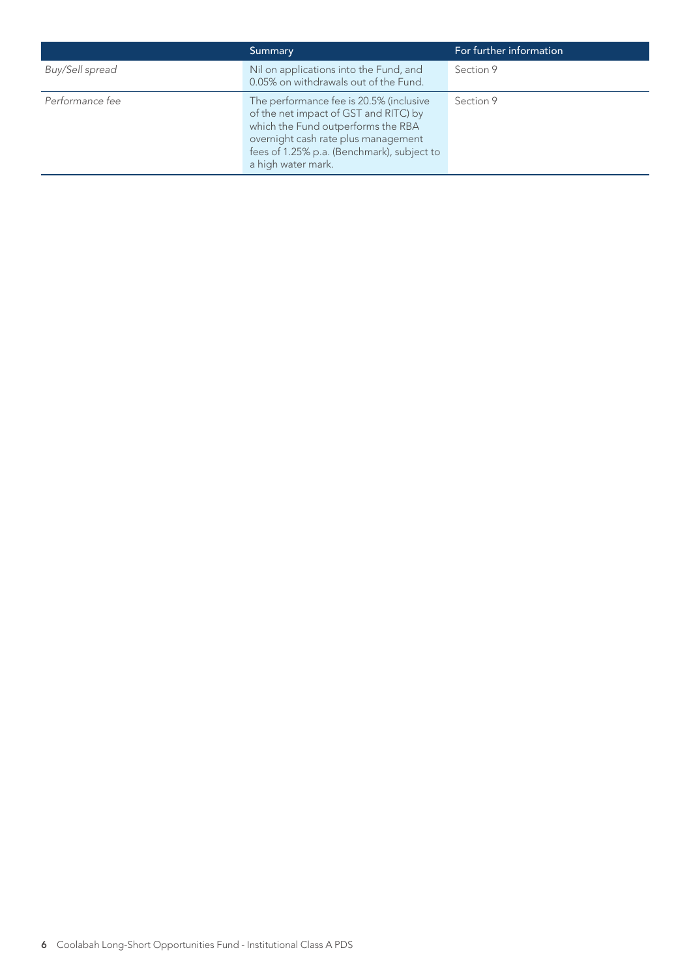|                 | Summary                                                                                                                                                                                                                           | For further information |
|-----------------|-----------------------------------------------------------------------------------------------------------------------------------------------------------------------------------------------------------------------------------|-------------------------|
| Buy/Sell spread | Nil on applications into the Fund, and<br>0.05% on withdrawals out of the Fund.                                                                                                                                                   | Section 9               |
| Performance fee | The performance fee is 20.5% (inclusive<br>of the net impact of GST and RITC) by<br>which the Fund outperforms the RBA<br>overnight cash rate plus management<br>fees of 1.25% p.a. (Benchmark), subject to<br>a high water mark. | Section 9               |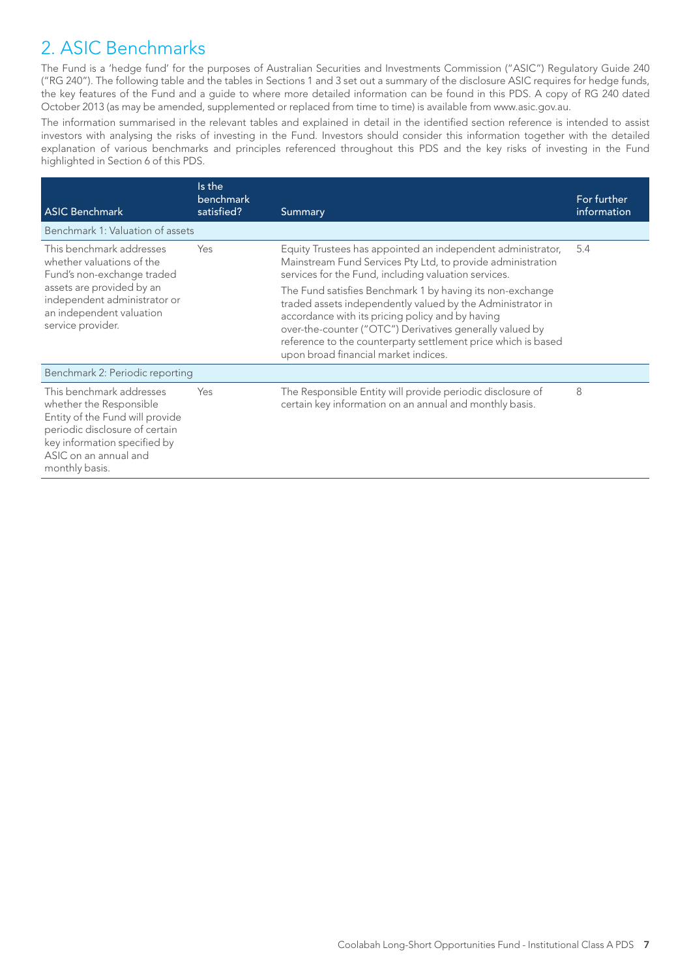## 2. ASIC Benchmarks

The Fund is a 'hedge fund' for the purposes of Australian Securities and Investments Commission ("ASIC") Regulatory Guide 240 ("RG 240"). The following table and the tables in Sections 1 and 3 set out a summary of the disclosure ASIC requires for hedge funds, the key features of the Fund and a guide to where more detailed information can be found in this PDS. A copy of RG 240 dated October 2013 (as may be amended, supplemented or replaced from time to time) is available from www.asic.gov.au.

The information summarised in the relevant tables and explained in detail in the identified section reference is intended to assist investors with analysing the risks of investing in the Fund. Investors should consider this information together with the detailed explanation of various benchmarks and principles referenced throughout this PDS and the key risks of investing in the Fund highlighted in Section 6 of this PDS.

| <b>ASIC Benchmark</b>                                                                                                                                                                               | Is the<br>benchmark<br>satisfied? | <b>Summary</b>                                                                                                                                                                                                                                                                                                                                   | For further<br>information |
|-----------------------------------------------------------------------------------------------------------------------------------------------------------------------------------------------------|-----------------------------------|--------------------------------------------------------------------------------------------------------------------------------------------------------------------------------------------------------------------------------------------------------------------------------------------------------------------------------------------------|----------------------------|
| Benchmark 1: Valuation of assets                                                                                                                                                                    |                                   |                                                                                                                                                                                                                                                                                                                                                  |                            |
| This benchmark addresses<br>whether valuations of the<br>Fund's non-exchange traded                                                                                                                 | Yes                               | Equity Trustees has appointed an independent administrator,<br>Mainstream Fund Services Pty Ltd, to provide administration<br>services for the Fund, including valuation services.                                                                                                                                                               | 5.4                        |
| assets are provided by an<br>independent administrator or<br>an independent valuation<br>service provider.                                                                                          |                                   | The Fund satisfies Benchmark 1 by having its non-exchange<br>traded assets independently valued by the Administrator in<br>accordance with its pricing policy and by having<br>over-the-counter ("OTC") Derivatives generally valued by<br>reference to the counterparty settlement price which is based<br>upon broad financial market indices. |                            |
| Benchmark 2: Periodic reporting                                                                                                                                                                     |                                   |                                                                                                                                                                                                                                                                                                                                                  |                            |
| This benchmark addresses<br>whether the Responsible<br>Entity of the Fund will provide<br>periodic disclosure of certain<br>key information specified by<br>ASIC on an annual and<br>monthly basis. | Yes                               | The Responsible Entity will provide periodic disclosure of<br>certain key information on an annual and monthly basis.                                                                                                                                                                                                                            | 8                          |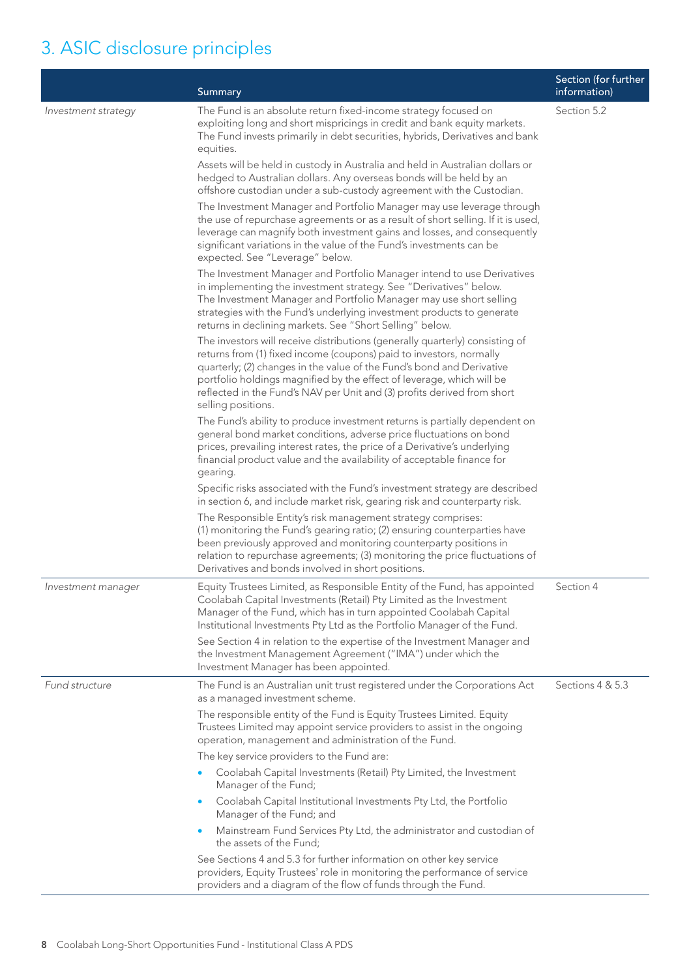## 3. ASIC disclosure principles

|                     | Summary                                                                                                                                                                                                                                                                                                                                                                                                | Section (for further<br>information) |
|---------------------|--------------------------------------------------------------------------------------------------------------------------------------------------------------------------------------------------------------------------------------------------------------------------------------------------------------------------------------------------------------------------------------------------------|--------------------------------------|
| Investment strategy | The Fund is an absolute return fixed-income strategy focused on<br>exploiting long and short mispricings in credit and bank equity markets.<br>The Fund invests primarily in debt securities, hybrids, Derivatives and bank<br>equities.                                                                                                                                                               | Section 5.2                          |
|                     | Assets will be held in custody in Australia and held in Australian dollars or<br>hedged to Australian dollars. Any overseas bonds will be held by an<br>offshore custodian under a sub-custody agreement with the Custodian.                                                                                                                                                                           |                                      |
|                     | The Investment Manager and Portfolio Manager may use leverage through<br>the use of repurchase agreements or as a result of short selling. If it is used,<br>leverage can magnify both investment gains and losses, and consequently<br>significant variations in the value of the Fund's investments can be<br>expected. See "Leverage" below.                                                        |                                      |
|                     | The Investment Manager and Portfolio Manager intend to use Derivatives<br>in implementing the investment strategy. See "Derivatives" below.<br>The Investment Manager and Portfolio Manager may use short selling<br>strategies with the Fund's underlying investment products to generate<br>returns in declining markets. See "Short Selling" below.                                                 |                                      |
|                     | The investors will receive distributions (generally quarterly) consisting of<br>returns from (1) fixed income (coupons) paid to investors, normally<br>quarterly; (2) changes in the value of the Fund's bond and Derivative<br>portfolio holdings magnified by the effect of leverage, which will be<br>reflected in the Fund's NAV per Unit and (3) profits derived from short<br>selling positions. |                                      |
|                     | The Fund's ability to produce investment returns is partially dependent on<br>general bond market conditions, adverse price fluctuations on bond<br>prices, prevailing interest rates, the price of a Derivative's underlying<br>financial product value and the availability of acceptable finance for<br>gearing.                                                                                    |                                      |
|                     | Specific risks associated with the Fund's investment strategy are described<br>in section 6, and include market risk, gearing risk and counterparty risk.                                                                                                                                                                                                                                              |                                      |
|                     | The Responsible Entity's risk management strategy comprises:<br>(1) monitoring the Fund's gearing ratio; (2) ensuring counterparties have<br>been previously approved and monitoring counterparty positions in<br>relation to repurchase agreements; (3) monitoring the price fluctuations of<br>Derivatives and bonds involved in short positions.                                                    |                                      |
| Investment manager  | Equity Trustees Limited, as Responsible Entity of the Fund, has appointed<br>Coolabah Capital Investments (Retail) Pty Limited as the Investment<br>Manager of the Fund, which has in turn appointed Coolabah Capital<br>Institutional Investments Pty Ltd as the Portfolio Manager of the Fund.                                                                                                       | Section 4                            |
|                     | See Section 4 in relation to the expertise of the Investment Manager and<br>the Investment Management Agreement ("IMA") under which the<br>Investment Manager has been appointed.                                                                                                                                                                                                                      |                                      |
| Fund structure      | The Fund is an Australian unit trust registered under the Corporations Act<br>as a managed investment scheme.                                                                                                                                                                                                                                                                                          | Sections 4 & 5.3                     |
|                     | The responsible entity of the Fund is Equity Trustees Limited. Equity<br>Trustees Limited may appoint service providers to assist in the ongoing<br>operation, management and administration of the Fund.                                                                                                                                                                                              |                                      |
|                     | The key service providers to the Fund are:                                                                                                                                                                                                                                                                                                                                                             |                                      |
|                     | Coolabah Capital Investments (Retail) Pty Limited, the Investment<br>$\bullet$<br>Manager of the Fund;                                                                                                                                                                                                                                                                                                 |                                      |
|                     | Coolabah Capital Institutional Investments Pty Ltd, the Portfolio<br>$\bullet$<br>Manager of the Fund; and                                                                                                                                                                                                                                                                                             |                                      |
|                     | Mainstream Fund Services Pty Ltd, the administrator and custodian of<br>the assets of the Fund;                                                                                                                                                                                                                                                                                                        |                                      |
|                     | See Sections 4 and 5.3 for further information on other key service<br>providers, Equity Trustees' role in monitoring the performance of service<br>providers and a diagram of the flow of funds through the Fund.                                                                                                                                                                                     |                                      |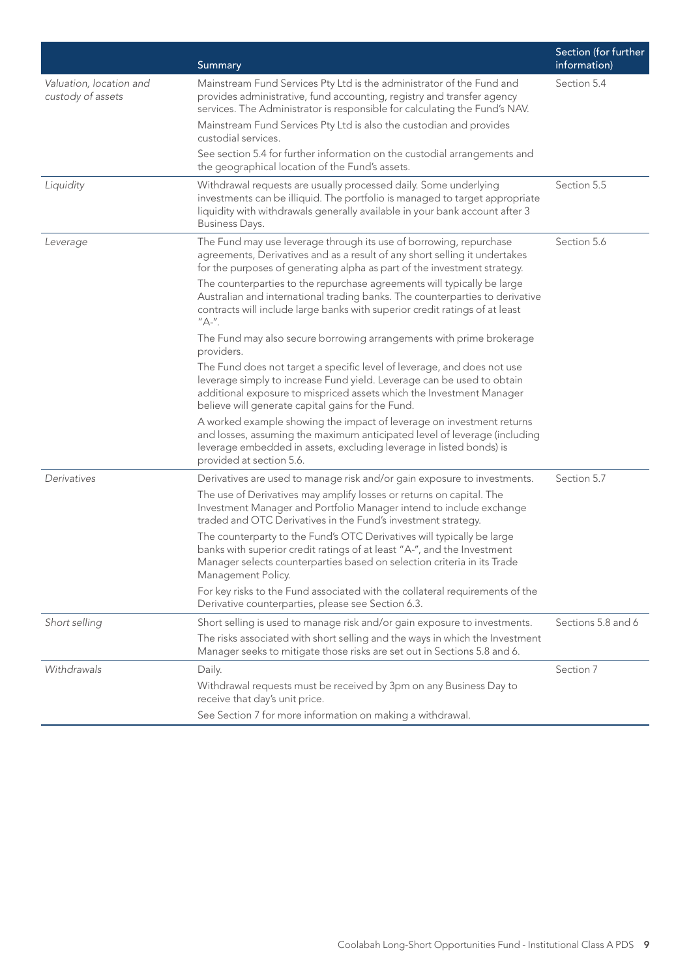|                                              | Summary                                                                                                                                                                                                                                                                                              | Section (for further<br>information) |
|----------------------------------------------|------------------------------------------------------------------------------------------------------------------------------------------------------------------------------------------------------------------------------------------------------------------------------------------------------|--------------------------------------|
| Valuation, location and<br>custody of assets | Mainstream Fund Services Pty Ltd is the administrator of the Fund and<br>provides administrative, fund accounting, registry and transfer agency<br>services. The Administrator is responsible for calculating the Fund's NAV.<br>Mainstream Fund Services Pty Ltd is also the custodian and provides | Section 5.4                          |
|                                              | custodial services.<br>See section 5.4 for further information on the custodial arrangements and<br>the geographical location of the Fund's assets.                                                                                                                                                  |                                      |
| Liquidity                                    | Withdrawal requests are usually processed daily. Some underlying<br>investments can be illiquid. The portfolio is managed to target appropriate<br>liquidity with withdrawals generally available in your bank account after 3<br>Business Days.                                                     | Section 5.5                          |
| Leverage                                     | The Fund may use leverage through its use of borrowing, repurchase<br>agreements, Derivatives and as a result of any short selling it undertakes<br>for the purposes of generating alpha as part of the investment strategy.                                                                         | Section 5.6                          |
|                                              | The counterparties to the repurchase agreements will typically be large<br>Australian and international trading banks. The counterparties to derivative<br>contracts will include large banks with superior credit ratings of at least<br>"A-".                                                      |                                      |
|                                              | The Fund may also secure borrowing arrangements with prime brokerage<br>providers.                                                                                                                                                                                                                   |                                      |
|                                              | The Fund does not target a specific level of leverage, and does not use<br>leverage simply to increase Fund yield. Leverage can be used to obtain<br>additional exposure to mispriced assets which the Investment Manager<br>believe will generate capital gains for the Fund.                       |                                      |
|                                              | A worked example showing the impact of leverage on investment returns<br>and losses, assuming the maximum anticipated level of leverage (including<br>leverage embedded in assets, excluding leverage in listed bonds) is<br>provided at section 5.6.                                                |                                      |
| Derivatives                                  | Derivatives are used to manage risk and/or gain exposure to investments.                                                                                                                                                                                                                             | Section 5.7                          |
|                                              | The use of Derivatives may amplify losses or returns on capital. The<br>Investment Manager and Portfolio Manager intend to include exchange<br>traded and OTC Derivatives in the Fund's investment strategy.                                                                                         |                                      |
|                                              | The counterparty to the Fund's OTC Derivatives will typically be large<br>banks with superior credit ratings of at least "A-", and the Investment<br>Manager selects counterparties based on selection criteria in its Trade<br>Management Policy.                                                   |                                      |
|                                              | For key risks to the Fund associated with the collateral requirements of the<br>Derivative counterparties, please see Section 6.3.                                                                                                                                                                   |                                      |
| Short selling                                | Short selling is used to manage risk and/or gain exposure to investments.                                                                                                                                                                                                                            | Sections 5.8 and 6                   |
|                                              | The risks associated with short selling and the ways in which the Investment<br>Manager seeks to mitigate those risks are set out in Sections 5.8 and 6.                                                                                                                                             |                                      |
| Withdrawals                                  | Daily.                                                                                                                                                                                                                                                                                               | Section 7                            |
|                                              | Withdrawal requests must be received by 3pm on any Business Day to<br>receive that day's unit price.                                                                                                                                                                                                 |                                      |
|                                              | See Section 7 for more information on making a withdrawal.                                                                                                                                                                                                                                           |                                      |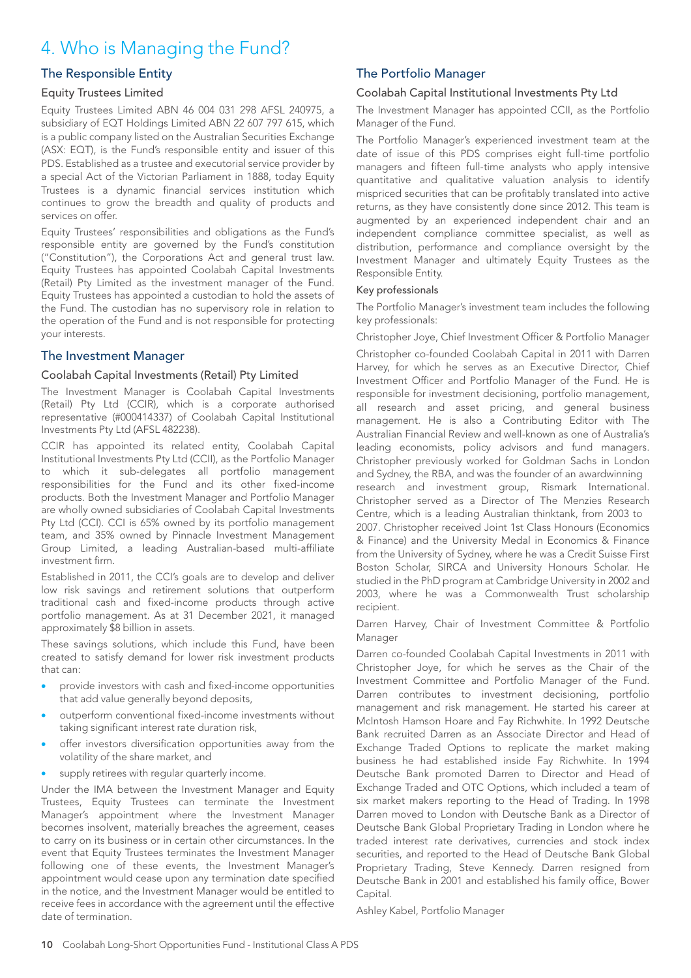## 4. Who is Managing the Fund?

## The Responsible Entity

#### Equity Trustees Limited

Equity Trustees Limited ABN 46 004 031 298 AFSL 240975, a subsidiary of EQT Holdings Limited ABN 22 607 797 615, which is a public company listed on the Australian Securities Exchange (ASX: EQT), is the Fund's responsible entity and issuer of this PDS. Established as a trustee and executorial service provider by a special Act of the Victorian Parliament in 1888, today Equity Trustees is a dynamic financial services institution which continues to grow the breadth and quality of products and services on offer.

Equity Trustees' responsibilities and obligations as the Fund's responsible entity are governed by the Fund's constitution ("Constitution"), the Corporations Act and general trust law. Equity Trustees has appointed Coolabah Capital Investments (Retail) Pty Limited as the investment manager of the Fund. Equity Trustees has appointed a custodian to hold the assets of the Fund. The custodian has no supervisory role in relation to the operation of the Fund and is not responsible for protecting your interests.

## The Investment Manager

#### Coolabah Capital Investments (Retail) Pty Limited

The Investment Manager is Coolabah Capital Investments (Retail) Pty Ltd (CCIR), which is a corporate authorised representative (#000414337) of Coolabah Capital Institutional Investments Pty Ltd (AFSL 482238).

CCIR has appointed its related entity, Coolabah Capital Institutional Investments Pty Ltd (CCII), as the Portfolio Manager to which it sub-delegates all portfolio management responsibilities for the Fund and its other fixed-income products. Both the Investment Manager and Portfolio Manager are wholly owned subsidiaries of Coolabah Capital Investments Pty Ltd (CCI). CCI is 65% owned by its portfolio management team, and 35% owned by Pinnacle Investment Management Group Limited, a leading Australian-based multi-affiliate investment firm.

Established in 2011, the CCI's goals are to develop and deliver low risk savings and retirement solutions that outperform traditional cash and fixed-income products through active portfolio management. As at 31 December 2021, it managed approximately \$8 billion in assets.

These savings solutions, which include this Fund, have been created to satisfy demand for lower risk investment products that can:

- provide investors with cash and fixed-income opportunities that add value generally beyond deposits,
- outperform conventional fixed-income investments without taking significant interest rate duration risk,
- offer investors diversification opportunities away from the volatility of the share market, and
- supply retirees with regular quarterly income.

Under the IMA between the Investment Manager and Equity Trustees, Equity Trustees can terminate the Investment Manager's appointment where the Investment Manager becomes insolvent, materially breaches the agreement, ceases to carry on its business or in certain other circumstances. In the event that Equity Trustees terminates the Investment Manager following one of these events, the Investment Manager's appointment would cease upon any termination date specified in the notice, and the Investment Manager would be entitled to receive fees in accordance with the agreement until the effective date of termination.

## The Portfolio Manager

#### Coolabah Capital Institutional Investments Pty Ltd

The Investment Manager has appointed CCII, as the Portfolio Manager of the Fund.

The Portfolio Manager's experienced investment team at the date of issue of this PDS comprises eight full-time portfolio managers and fifteen full-time analysts who apply intensive quantitative and qualitative valuation analysis to identify mispriced securities that can be profitably translated into active returns, as they have consistently done since 2012. This team is augmented by an experienced independent chair and an independent compliance committee specialist, as well as distribution, performance and compliance oversight by the Investment Manager and ultimately Equity Trustees as the Responsible Entity.

#### Key professionals

The Portfolio Manager's investment team includes the following key professionals:

Christopher Joye, Chief Investment Officer & Portfolio Manager

Christopher co-founded Coolabah Capital in 2011 with Darren Harvey, for which he serves as an Executive Director, Chief Investment Officer and Portfolio Manager of the Fund. He is responsible for investment decisioning, portfolio management, all research and asset pricing, and general business management. He is also a Contributing Editor with The Australian Financial Review and well-known as one of Australia's leading economists, policy advisors and fund managers. Christopher previously worked for Goldman Sachs in London and Sydney, the RBA, and was the founder of an awardwinning research and investment group, Rismark International. Christopher served as a Director of The Menzies Research Centre, which is a leading Australian thinktank, from 2003 to 2007. Christopher received Joint 1st Class Honours (Economics & Finance) and the University Medal in Economics & Finance from the University of Sydney, where he was a Credit Suisse First Boston Scholar, SIRCA and University Honours Scholar. He studied in the PhD program at Cambridge University in 2002 and 2003, where he was a Commonwealth Trust scholarship recipient.

Darren Harvey, Chair of Investment Committee & Portfolio Manager

Darren co-founded Coolabah Capital Investments in 2011 with Christopher Joye, for which he serves as the Chair of the Investment Committee and Portfolio Manager of the Fund. Darren contributes to investment decisioning, portfolio management and risk management. He started his career at McIntosh Hamson Hoare and Fay Richwhite. In 1992 Deutsche Bank recruited Darren as an Associate Director and Head of Exchange Traded Options to replicate the market making business he had established inside Fay Richwhite. In 1994 Deutsche Bank promoted Darren to Director and Head of Exchange Traded and OTC Options, which included a team of six market makers reporting to the Head of Trading. In 1998 Darren moved to London with Deutsche Bank as a Director of Deutsche Bank Global Proprietary Trading in London where he traded interest rate derivatives, currencies and stock index securities, and reported to the Head of Deutsche Bank Global Proprietary Trading, Steve Kennedy. Darren resigned from Deutsche Bank in 2001 and established his family office, Bower Capital.

Ashley Kabel, Portfolio Manager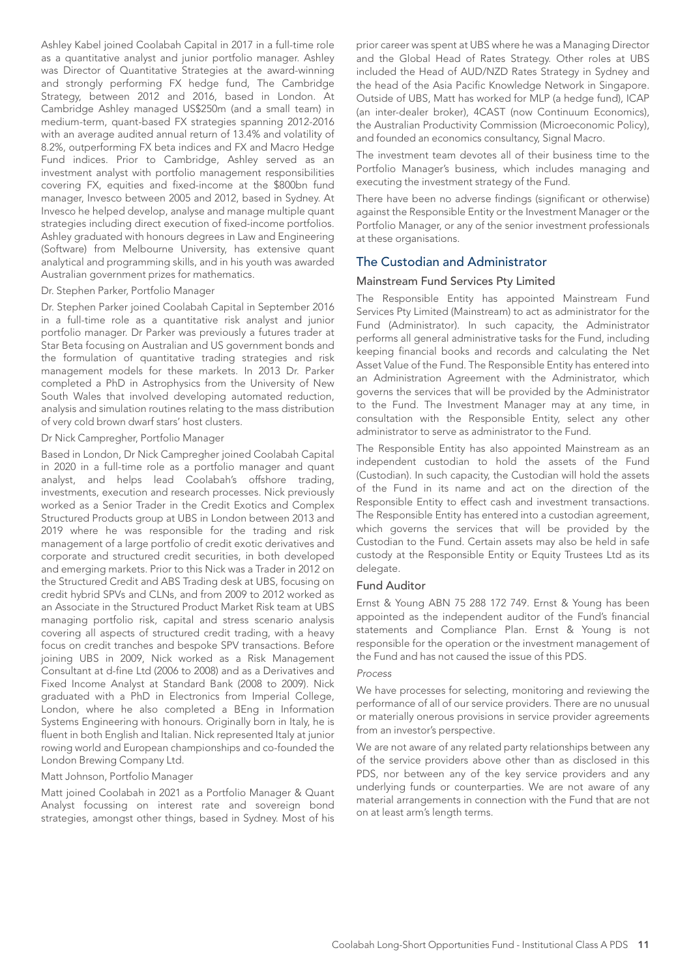Ashley Kabel joined Coolabah Capital in 2017 in a full-time role as a quantitative analyst and junior portfolio manager. Ashley was Director of Quantitative Strategies at the award-winning and strongly performing FX hedge fund, The Cambridge Strategy, between 2012 and 2016, based in London. At Cambridge Ashley managed US\$250m (and a small team) in medium-term, quant-based FX strategies spanning 2012-2016 with an average audited annual return of 13.4% and volatility of 8.2%, outperforming FX beta indices and FX and Macro Hedge Fund indices. Prior to Cambridge, Ashley served as an investment analyst with portfolio management responsibilities covering FX, equities and fixed-income at the \$800bn fund manager, Invesco between 2005 and 2012, based in Sydney. At Invesco he helped develop, analyse and manage multiple quant strategies including direct execution of fixed-income portfolios. Ashley graduated with honours degrees in Law and Engineering (Software) from Melbourne University, has extensive quant analytical and programming skills, and in his youth was awarded Australian government prizes for mathematics.

#### Dr. Stephen Parker, Portfolio Manager

Dr. Stephen Parker joined Coolabah Capital in September 2016 in a full-time role as a quantitative risk analyst and junior portfolio manager. Dr Parker was previously a futures trader at Star Beta focusing on Australian and US government bonds and the formulation of quantitative trading strategies and risk management models for these markets. In 2013 Dr. Parker completed a PhD in Astrophysics from the University of New South Wales that involved developing automated reduction, analysis and simulation routines relating to the mass distribution of very cold brown dwarf stars' host clusters.

#### Dr Nick Campregher, Portfolio Manager

Based in London, Dr Nick Campregher joined Coolabah Capital in 2020 in a full-time role as a portfolio manager and quant analyst, and helps lead Coolabah's offshore trading, investments, execution and research processes. Nick previously worked as a Senior Trader in the Credit Exotics and Complex Structured Products group at UBS in London between 2013 and 2019 where he was responsible for the trading and risk management of a large portfolio of credit exotic derivatives and corporate and structured credit securities, in both developed and emerging markets. Prior to this Nick was a Trader in 2012 on the Structured Credit and ABS Trading desk at UBS, focusing on credit hybrid SPVs and CLNs, and from 2009 to 2012 worked as an Associate in the Structured Product Market Risk team at UBS managing portfolio risk, capital and stress scenario analysis covering all aspects of structured credit trading, with a heavy focus on credit tranches and bespoke SPV transactions. Before joining UBS in 2009, Nick worked as a Risk Management Consultant at d-fine Ltd (2006 to 2008) and as a Derivatives and Fixed Income Analyst at Standard Bank (2008 to 2009). Nick graduated with a PhD in Electronics from Imperial College, London, where he also completed a BEng in Information Systems Engineering with honours. Originally born in Italy, he is fluent in both English and Italian. Nick represented Italy at junior rowing world and European championships and co-founded the London Brewing Company Ltd.

#### Matt Johnson, Portfolio Manager

Matt joined Coolabah in 2021 as a Portfolio Manager & Quant Analyst focussing on interest rate and sovereign bond strategies, amongst other things, based in Sydney. Most of his prior career was spent at UBS where he was a Managing Director and the Global Head of Rates Strategy. Other roles at UBS included the Head of AUD/NZD Rates Strategy in Sydney and the head of the Asia Pacific Knowledge Network in Singapore. Outside of UBS, Matt has worked for MLP (a hedge fund), ICAP (an inter-dealer broker), 4CAST (now Continuum Economics), the Australian Productivity Commission (Microeconomic Policy), and founded an economics consultancy, Signal Macro.

The investment team devotes all of their business time to the Portfolio Manager's business, which includes managing and executing the investment strategy of the Fund.

There have been no adverse findings (significant or otherwise) against the Responsible Entity or the Investment Manager or the Portfolio Manager, or any of the senior investment professionals at these organisations.

### The Custodian and Administrator

#### Mainstream Fund Services Pty Limited

The Responsible Entity has appointed Mainstream Fund Services Pty Limited (Mainstream) to act as administrator for the Fund (Administrator). In such capacity, the Administrator performs all general administrative tasks for the Fund, including keeping financial books and records and calculating the Net Asset Value of the Fund. The Responsible Entity has entered into an Administration Agreement with the Administrator, which governs the services that will be provided by the Administrator to the Fund. The Investment Manager may at any time, in consultation with the Responsible Entity, select any other administrator to serve as administrator to the Fund.

The Responsible Entity has also appointed Mainstream as an independent custodian to hold the assets of the Fund (Custodian). In such capacity, the Custodian will hold the assets of the Fund in its name and act on the direction of the Responsible Entity to effect cash and investment transactions. The Responsible Entity has entered into a custodian agreement, which governs the services that will be provided by the Custodian to the Fund. Certain assets may also be held in safe custody at the Responsible Entity or Equity Trustees Ltd as its delegate.

#### Fund Auditor

Ernst & Young ABN 75 288 172 749. Ernst & Young has been appointed as the independent auditor of the Fund's financial statements and Compliance Plan. Ernst & Young is not responsible for the operation or the investment management of the Fund and has not caused the issue of this PDS.

#### *Process*

We have processes for selecting, monitoring and reviewing the performance of all of our service providers. There are no unusual or materially onerous provisions in service provider agreements from an investor's perspective.

We are not aware of any related party relationships between any of the service providers above other than as disclosed in this PDS, nor between any of the key service providers and any underlying funds or counterparties. We are not aware of any material arrangements in connection with the Fund that are not on at least arm's length terms.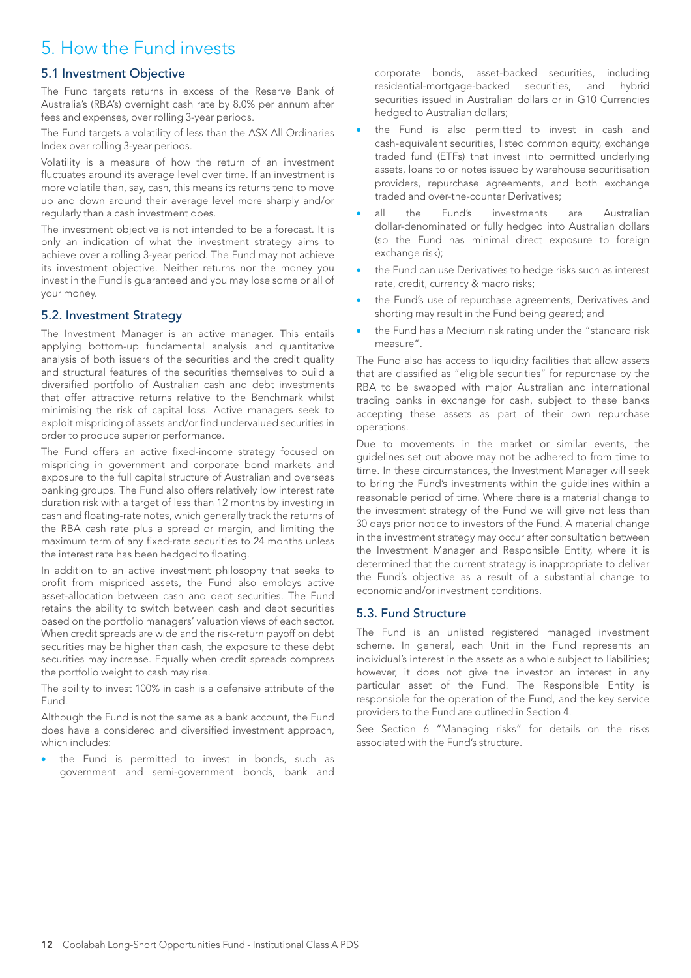## 5. How the Fund invests

## 5.1 Investment Objective

The Fund targets returns in excess of the Reserve Bank of Australia's (RBA's) overnight cash rate by 8.0% per annum after fees and expenses, over rolling 3-year periods.

The Fund targets a volatility of less than the ASX All Ordinaries Index over rolling 3-year periods.

Volatility is a measure of how the return of an investment fluctuates around its average level over time. If an investment is more volatile than, say, cash, this means its returns tend to move up and down around their average level more sharply and/or regularly than a cash investment does.

The investment objective is not intended to be a forecast. It is only an indication of what the investment strategy aims to achieve over a rolling 3-year period. The Fund may not achieve its investment objective. Neither returns nor the money you invest in the Fund is guaranteed and you may lose some or all of your money.

## 5.2. Investment Strategy

The Investment Manager is an active manager. This entails applying bottom-up fundamental analysis and quantitative analysis of both issuers of the securities and the credit quality and structural features of the securities themselves to build a diversified portfolio of Australian cash and debt investments that offer attractive returns relative to the Benchmark whilst minimising the risk of capital loss. Active managers seek to exploit mispricing of assets and/or find undervalued securities in order to produce superior performance.

The Fund offers an active fixed-income strategy focused on mispricing in government and corporate bond markets and exposure to the full capital structure of Australian and overseas banking groups. The Fund also offers relatively low interest rate duration risk with a target of less than 12 months by investing in cash and floating-rate notes, which generally track the returns of the RBA cash rate plus a spread or margin, and limiting the maximum term of any fixed-rate securities to 24 months unless the interest rate has been hedged to floating.

In addition to an active investment philosophy that seeks to profit from mispriced assets, the Fund also employs active asset-allocation between cash and debt securities. The Fund retains the ability to switch between cash and debt securities based on the portfolio managers' valuation views of each sector. When credit spreads are wide and the risk-return payoff on debt securities may be higher than cash, the exposure to these debt securities may increase. Equally when credit spreads compress the portfolio weight to cash may rise.

The ability to invest 100% in cash is a defensive attribute of the Fund.

Although the Fund is not the same as a bank account, the Fund does have a considered and diversified investment approach, which includes:

the Fund is permitted to invest in bonds, such as government and semi-government bonds, bank and corporate bonds, asset-backed securities, including residential-mortgage-backed securities, and hybrid securities issued in Australian dollars or in G10 Currencies hedged to Australian dollars;

- the Fund is also permitted to invest in cash and cash-equivalent securities, listed common equity, exchange traded fund (ETFs) that invest into permitted underlying assets, loans to or notes issued by warehouse securitisation providers, repurchase agreements, and both exchange traded and over-the-counter Derivatives;
- all the Fund's investments are Australian dollar-denominated or fully hedged into Australian dollars (so the Fund has minimal direct exposure to foreign exchange risk);
- the Fund can use Derivatives to hedge risks such as interest rate, credit, currency & macro risks;
- the Fund's use of repurchase agreements, Derivatives and shorting may result in the Fund being geared; and
- the Fund has a Medium risk rating under the "standard risk measure".

The Fund also has access to liquidity facilities that allow assets that are classified as "eligible securities" for repurchase by the RBA to be swapped with major Australian and international trading banks in exchange for cash, subject to these banks accepting these assets as part of their own repurchase operations.

Due to movements in the market or similar events, the guidelines set out above may not be adhered to from time to time. In these circumstances, the Investment Manager will seek to bring the Fund's investments within the guidelines within a reasonable period of time. Where there is a material change to the investment strategy of the Fund we will give not less than 30 days prior notice to investors of the Fund. A material change in the investment strategy may occur after consultation between the Investment Manager and Responsible Entity, where it is determined that the current strategy is inappropriate to deliver the Fund's objective as a result of a substantial change to economic and/or investment conditions.

## 5.3. Fund Structure

The Fund is an unlisted registered managed investment scheme. In general, each Unit in the Fund represents an individual's interest in the assets as a whole subject to liabilities; however, it does not give the investor an interest in any particular asset of the Fund. The Responsible Entity is responsible for the operation of the Fund, and the key service providers to the Fund are outlined in Section 4.

See Section 6 "Managing risks" for details on the risks associated with the Fund's structure.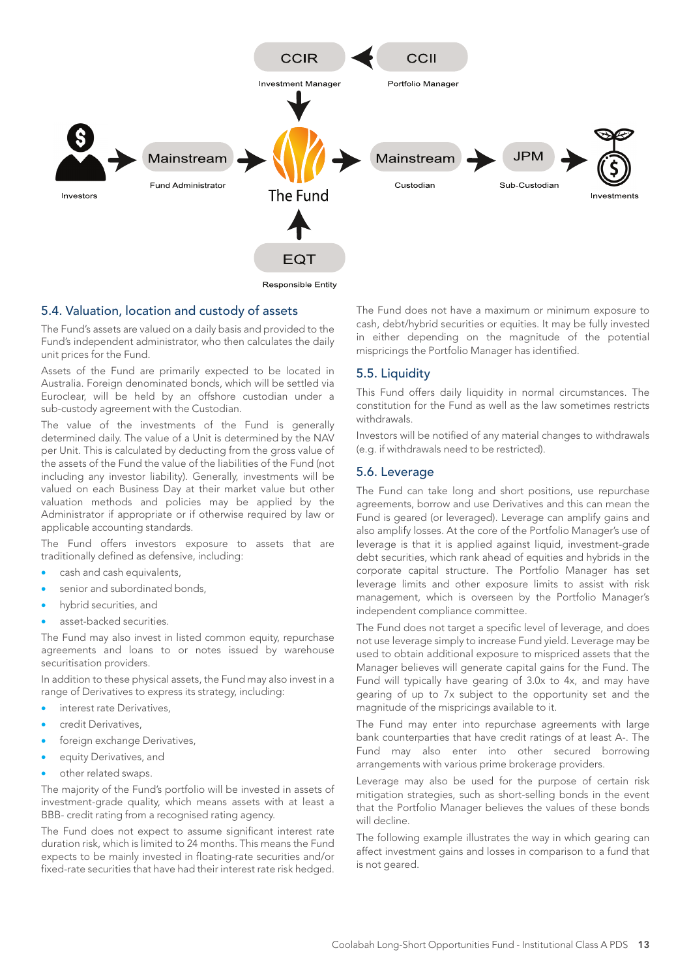

#### 5.4. Valuation, location and custody of assets

The Fund's assets are valued on a daily basis and provided to the Fund's independent administrator, who then calculates the daily unit prices for the Fund.

Assets of the Fund are primarily expected to be located in Australia. Foreign denominated bonds, which will be settled via Euroclear, will be held by an offshore custodian under a sub-custody agreement with the Custodian.

The value of the investments of the Fund is generally determined daily. The value of a Unit is determined by the NAV per Unit. This is calculated by deducting from the gross value of the assets of the Fund the value of the liabilities of the Fund (not including any investor liability). Generally, investments will be valued on each Business Day at their market value but other valuation methods and policies may be applied by the Administrator if appropriate or if otherwise required by law or applicable accounting standards.

The Fund offers investors exposure to assets that are traditionally defined as defensive, including:

- cash and cash equivalents,
- senior and subordinated bonds,
- hybrid securities, and
- asset-backed securities.

The Fund may also invest in listed common equity, repurchase agreements and loans to or notes issued by warehouse securitisation providers.

In addition to these physical assets, the Fund may also invest in a range of Derivatives to express its strategy, including:

- interest rate Derivatives,
- credit Derivatives.
- foreign exchange Derivatives,
- equity Derivatives, and
- other related swaps.

The majority of the Fund's portfolio will be invested in assets of investment-grade quality, which means assets with at least a BBB- credit rating from a recognised rating agency.

The Fund does not expect to assume significant interest rate duration risk, which is limited to 24 months. This means the Fund expects to be mainly invested in floating-rate securities and/or fixed-rate securities that have had their interest rate risk hedged.

The Fund does not have a maximum or minimum exposure to cash, debt/hybrid securities or equities. It may be fully invested in either depending on the magnitude of the potential mispricings the Portfolio Manager has identified.

#### 5.5. Liquidity

This Fund offers daily liquidity in normal circumstances. The constitution for the Fund as well as the law sometimes restricts withdrawals.

Investors will be notified of any material changes to withdrawals (e.g. if withdrawals need to be restricted).

#### 5.6. Leverage

The Fund can take long and short positions, use repurchase agreements, borrow and use Derivatives and this can mean the Fund is geared (or leveraged). Leverage can amplify gains and also amplify losses. At the core of the Portfolio Manager's use of leverage is that it is applied against liquid, investment-grade debt securities, which rank ahead of equities and hybrids in the corporate capital structure. The Portfolio Manager has set leverage limits and other exposure limits to assist with risk management, which is overseen by the Portfolio Manager's independent compliance committee.

The Fund does not target a specific level of leverage, and does not use leverage simply to increase Fund yield. Leverage may be used to obtain additional exposure to mispriced assets that the Manager believes will generate capital gains for the Fund. The Fund will typically have gearing of 3.0x to 4x, and may have gearing of up to 7x subject to the opportunity set and the magnitude of the mispricings available to it.

The Fund may enter into repurchase agreements with large bank counterparties that have credit ratings of at least A-. The Fund may also enter into other secured borrowing arrangements with various prime brokerage providers.

Leverage may also be used for the purpose of certain risk mitigation strategies, such as short-selling bonds in the event that the Portfolio Manager believes the values of these bonds will decline.

The following example illustrates the way in which gearing can affect investment gains and losses in comparison to a fund that is not geared.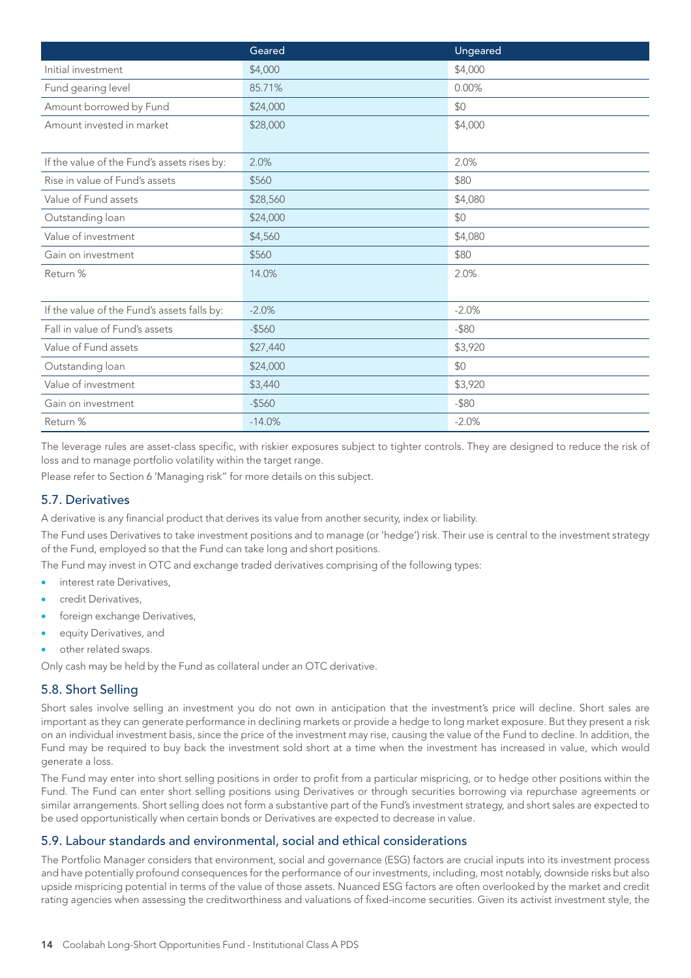|                                             | Geared    | Ungeared |
|---------------------------------------------|-----------|----------|
| Initial investment                          | \$4,000   | \$4,000  |
| Fund gearing level                          | 85.71%    | 0.00%    |
| Amount borrowed by Fund                     | \$24,000  | \$0      |
| Amount invested in market                   | \$28,000  | \$4,000  |
|                                             |           |          |
| If the value of the Fund's assets rises by: | 2.0%      | 2.0%     |
| Rise in value of Fund's assets              | \$560     | \$80     |
| Value of Fund assets                        | \$28,560  | \$4,080  |
| Outstanding loan                            | \$24,000  | \$0      |
| Value of investment                         | \$4,560   | \$4,080  |
| Gain on investment                          | \$560     | \$80     |
| Return %                                    | 14.0%     | 2.0%     |
|                                             |           |          |
| If the value of the Fund's assets falls by: | $-2.0%$   | $-2.0%$  |
| Fall in value of Fund's assets              | $-$ \$560 | $-$ \$80 |
| Value of Fund assets                        | \$27,440  | \$3,920  |
| Outstanding loan                            | \$24,000  | \$0      |
| Value of investment                         | \$3,440   | \$3,920  |
| Gain on investment                          | $-$ \$560 | $-$ \$80 |
| Return %                                    | $-14.0%$  | $-2.0%$  |

The leverage rules are asset-class specific, with riskier exposures subject to tighter controls. They are designed to reduce the risk of loss and to manage portfolio volatility within the target range.

Please refer to Section 6 'Managing risk" for more details on this subject.

## 5.7. Derivatives

A derivative is any financial product that derives its value from another security, index or liability.

The Fund uses Derivatives to take investment positions and to manage (or 'hedge') risk. Their use is central to the investment strategy of the Fund, employed so that the Fund can take long and short positions.

The Fund may invest in OTC and exchange traded derivatives comprising of the following types:

- interest rate Derivatives,
- credit Derivatives,
- foreign exchange Derivatives,
- equity Derivatives, and

other related swaps.

Only cash may be held by the Fund as collateral under an OTC derivative.

## 5.8. Short Selling

Short sales involve selling an investment you do not own in anticipation that the investment's price will decline. Short sales are important as they can generate performance in declining markets or provide a hedge to long market exposure. But they present a risk on an individual investment basis, since the price of the investment may rise, causing the value of the Fund to decline. In addition, the Fund may be required to buy back the investment sold short at a time when the investment has increased in value, which would generate a loss.

The Fund may enter into short selling positions in order to profit from a particular mispricing, or to hedge other positions within the Fund. The Fund can enter short selling positions using Derivatives or through securities borrowing via repurchase agreements or similar arrangements. Short selling does not form a substantive part of the Fund's investment strategy, and short sales are expected to be used opportunistically when certain bonds or Derivatives are expected to decrease in value.

## 5.9. Labour standards and environmental, social and ethical considerations

The Portfolio Manager considers that environment, social and governance (ESG) factors are crucial inputs into its investment process and have potentially profound consequences for the performance of our investments, including, most notably, downside risks but also upside mispricing potential in terms of the value of those assets. Nuanced ESG factors are often overlooked by the market and credit rating agencies when assessing the creditworthiness and valuations of fixed-income securities. Given its activist investment style, the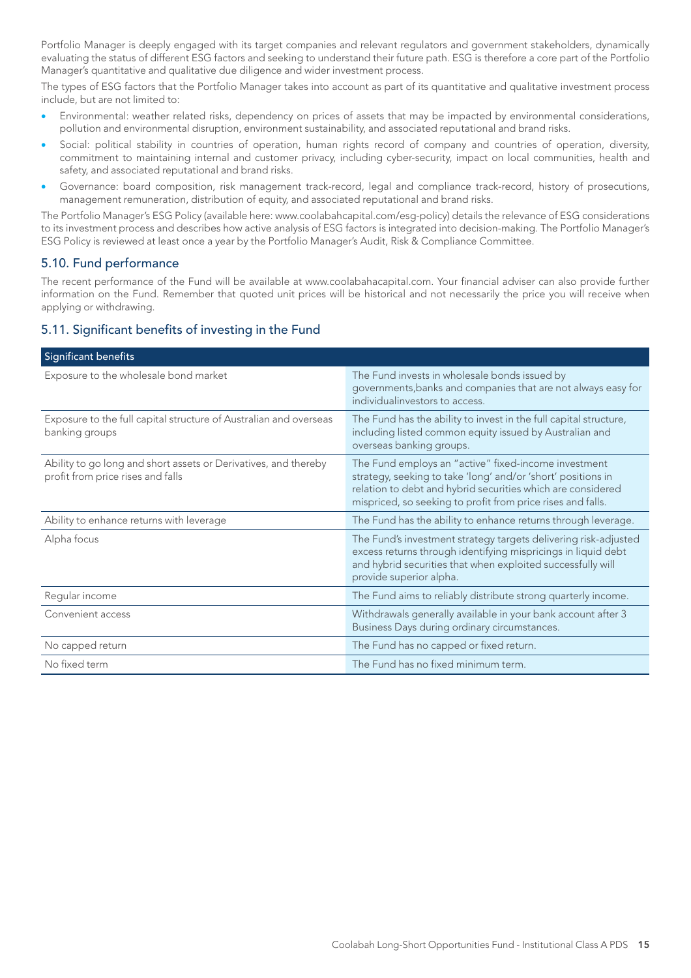Portfolio Manager is deeply engaged with its target companies and relevant regulators and government stakeholders, dynamically evaluating the status of different ESG factors and seeking to understand their future path. ESG is therefore a core part of the Portfolio Manager's quantitative and qualitative due diligence and wider investment process.

The types of ESG factors that the Portfolio Manager takes into account as part of its quantitative and qualitative investment process include, but are not limited to:

- Environmental: weather related risks, dependency on prices of assets that may be impacted by environmental considerations, pollution and environmental disruption, environment sustainability, and associated reputational and brand risks.
- Social: political stability in countries of operation, human rights record of company and countries of operation, diversity, commitment to maintaining internal and customer privacy, including cyber-security, impact on local communities, health and safety, and associated reputational and brand risks.
- Governance: board composition, risk management track-record, legal and compliance track-record, history of prosecutions, management remuneration, distribution of equity, and associated reputational and brand risks.

The Portfolio Manager's ESG Policy (available here: www.coolabahcapital.com/esg-policy) details the relevance of ESG considerations to its investment process and describes how active analysis of ESG factors is integrated into decision-making. The Portfolio Manager's ESG Policy is reviewed at least once a year by the Portfolio Manager's Audit, Risk & Compliance Committee.

## 5.10. Fund performance

The recent performance of the Fund will be available at www.coolabahacapital.com. Your financial adviser can also provide further information on the Fund. Remember that quoted unit prices will be historical and not necessarily the price you will receive when applying or withdrawing.

## 5.11. Significant benefits of investing in the Fund

| Significant benefits                                                                                 |                                                                                                                                                                                                                                                    |
|------------------------------------------------------------------------------------------------------|----------------------------------------------------------------------------------------------------------------------------------------------------------------------------------------------------------------------------------------------------|
| Exposure to the wholesale bond market                                                                | The Fund invests in wholesale bonds issued by<br>governments, banks and companies that are not always easy for<br>individualinvestors to access.                                                                                                   |
| Exposure to the full capital structure of Australian and overseas<br>banking groups                  | The Fund has the ability to invest in the full capital structure,<br>including listed common equity issued by Australian and<br>overseas banking groups.                                                                                           |
| Ability to go long and short assets or Derivatives, and thereby<br>profit from price rises and falls | The Fund employs an "active" fixed-income investment<br>strategy, seeking to take 'long' and/or 'short' positions in<br>relation to debt and hybrid securities which are considered<br>mispriced, so seeking to profit from price rises and falls. |
| Ability to enhance returns with leverage                                                             | The Fund has the ability to enhance returns through leverage.                                                                                                                                                                                      |
| Alpha focus                                                                                          | The Fund's investment strategy targets delivering risk-adjusted<br>excess returns through identifying mispricings in liquid debt<br>and hybrid securities that when exploited successfully will<br>provide superior alpha.                         |
| Regular income                                                                                       | The Fund aims to reliably distribute strong quarterly income.                                                                                                                                                                                      |
| Convenient access                                                                                    | Withdrawals generally available in your bank account after 3<br>Business Days during ordinary circumstances.                                                                                                                                       |
| No capped return                                                                                     | The Fund has no capped or fixed return.                                                                                                                                                                                                            |
| No fixed term                                                                                        | The Fund has no fixed minimum term.                                                                                                                                                                                                                |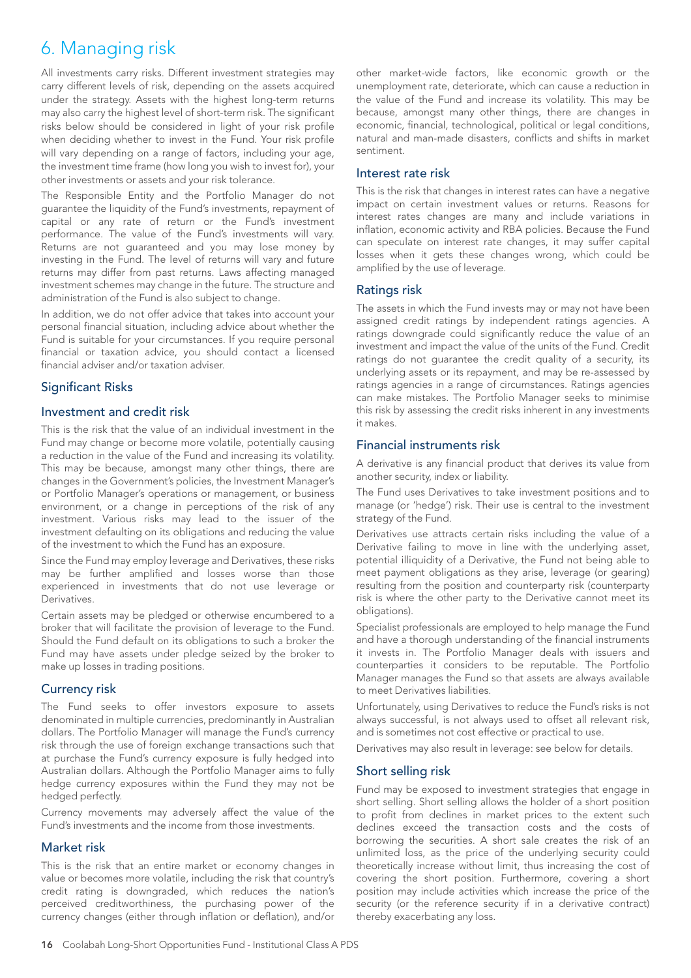## 6. Managing risk

All investments carry risks. Different investment strategies may carry different levels of risk, depending on the assets acquired under the strategy. Assets with the highest long-term returns may also carry the highest level of short-term risk. The significant risks below should be considered in light of your risk profile when deciding whether to invest in the Fund. Your risk profile will vary depending on a range of factors, including your age, the investment time frame (how long you wish to invest for), your other investments or assets and your risk tolerance.

The Responsible Entity and the Portfolio Manager do not guarantee the liquidity of the Fund's investments, repayment of capital or any rate of return or the Fund's investment performance. The value of the Fund's investments will vary. Returns are not guaranteed and you may lose money by investing in the Fund. The level of returns will vary and future returns may differ from past returns. Laws affecting managed investment schemes may change in the future. The structure and administration of the Fund is also subject to change.

In addition, we do not offer advice that takes into account your personal financial situation, including advice about whether the Fund is suitable for your circumstances. If you require personal financial or taxation advice, you should contact a licensed financial adviser and/or taxation adviser.

## Significant Risks

## Investment and credit risk

This is the risk that the value of an individual investment in the Fund may change or become more volatile, potentially causing a reduction in the value of the Fund and increasing its volatility. This may be because, amongst many other things, there are changes in the Government's policies, the Investment Manager's or Portfolio Manager's operations or management, or business environment, or a change in perceptions of the risk of any investment. Various risks may lead to the issuer of the investment defaulting on its obligations and reducing the value of the investment to which the Fund has an exposure.

Since the Fund may employ leverage and Derivatives, these risks may be further amplified and losses worse than those experienced in investments that do not use leverage or Derivatives.

Certain assets may be pledged or otherwise encumbered to a broker that will facilitate the provision of leverage to the Fund. Should the Fund default on its obligations to such a broker the Fund may have assets under pledge seized by the broker to make up losses in trading positions.

## Currency risk

The Fund seeks to offer investors exposure to assets denominated in multiple currencies, predominantly in Australian dollars. The Portfolio Manager will manage the Fund's currency risk through the use of foreign exchange transactions such that at purchase the Fund's currency exposure is fully hedged into Australian dollars. Although the Portfolio Manager aims to fully hedge currency exposures within the Fund they may not be hedged perfectly.

Currency movements may adversely affect the value of the Fund's investments and the income from those investments.

## Market risk

This is the risk that an entire market or economy changes in value or becomes more volatile, including the risk that country's credit rating is downgraded, which reduces the nation's perceived creditworthiness, the purchasing power of the currency changes (either through inflation or deflation), and/or

other market-wide factors, like economic growth or the unemployment rate, deteriorate, which can cause a reduction in the value of the Fund and increase its volatility. This may be because, amongst many other things, there are changes in economic, financial, technological, political or legal conditions, natural and man-made disasters, conflicts and shifts in market sentiment.

## Interest rate risk

This is the risk that changes in interest rates can have a negative impact on certain investment values or returns. Reasons for interest rates changes are many and include variations in inflation, economic activity and RBA policies. Because the Fund can speculate on interest rate changes, it may suffer capital losses when it gets these changes wrong, which could be amplified by the use of leverage.

#### Ratings risk

The assets in which the Fund invests may or may not have been assigned credit ratings by independent ratings agencies. A ratings downgrade could significantly reduce the value of an investment and impact the value of the units of the Fund. Credit ratings do not guarantee the credit quality of a security, its underlying assets or its repayment, and may be re-assessed by ratings agencies in a range of circumstances. Ratings agencies can make mistakes. The Portfolio Manager seeks to minimise this risk by assessing the credit risks inherent in any investments it makes.

## Financial instruments risk

A derivative is any financial product that derives its value from another security, index or liability.

The Fund uses Derivatives to take investment positions and to manage (or 'hedge') risk. Their use is central to the investment strategy of the Fund.

Derivatives use attracts certain risks including the value of a Derivative failing to move in line with the underlying asset, potential illiquidity of a Derivative, the Fund not being able to meet payment obligations as they arise, leverage (or gearing) resulting from the position and counterparty risk (counterparty risk is where the other party to the Derivative cannot meet its obligations).

Specialist professionals are employed to help manage the Fund and have a thorough understanding of the financial instruments it invests in. The Portfolio Manager deals with issuers and counterparties it considers to be reputable. The Portfolio Manager manages the Fund so that assets are always available to meet Derivatives liabilities.

Unfortunately, using Derivatives to reduce the Fund's risks is not always successful, is not always used to offset all relevant risk, and is sometimes not cost effective or practical to use.

Derivatives may also result in leverage: see below for details.

## Short selling risk

Fund may be exposed to investment strategies that engage in short selling. Short selling allows the holder of a short position to profit from declines in market prices to the extent such declines exceed the transaction costs and the costs of borrowing the securities. A short sale creates the risk of an unlimited loss, as the price of the underlying security could theoretically increase without limit, thus increasing the cost of covering the short position. Furthermore, covering a short position may include activities which increase the price of the security (or the reference security if in a derivative contract) thereby exacerbating any loss.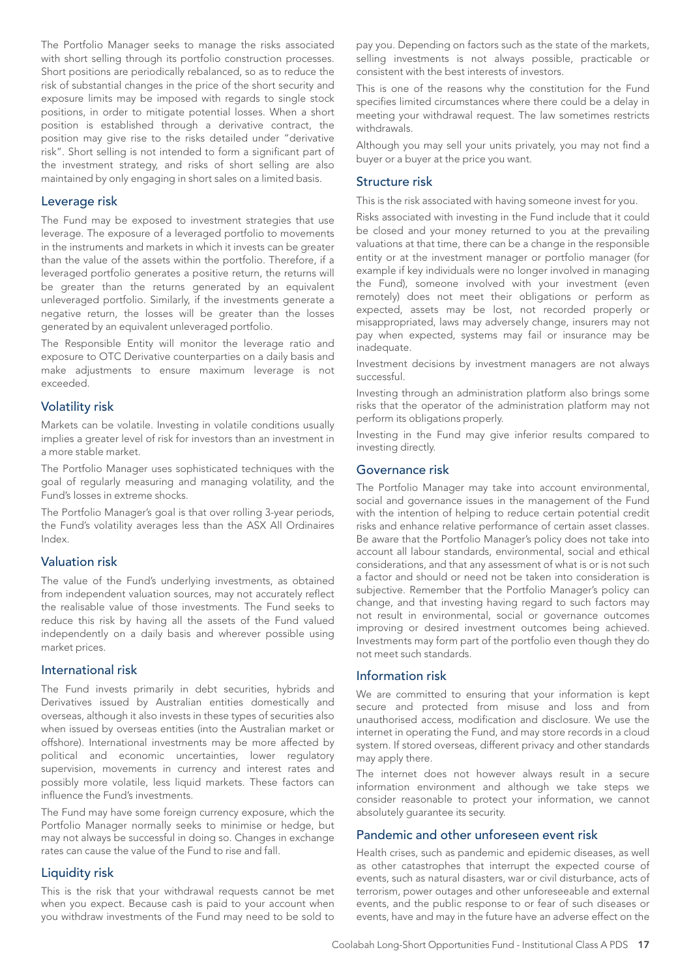The Portfolio Manager seeks to manage the risks associated with short selling through its portfolio construction processes. Short positions are periodically rebalanced, so as to reduce the risk of substantial changes in the price of the short security and exposure limits may be imposed with regards to single stock positions, in order to mitigate potential losses. When a short position is established through a derivative contract, the position may give rise to the risks detailed under "derivative risk". Short selling is not intended to form a significant part of the investment strategy, and risks of short selling are also maintained by only engaging in short sales on a limited basis.

#### Leverage risk

The Fund may be exposed to investment strategies that use leverage. The exposure of a leveraged portfolio to movements in the instruments and markets in which it invests can be greater than the value of the assets within the portfolio. Therefore, if a leveraged portfolio generates a positive return, the returns will be greater than the returns generated by an equivalent unleveraged portfolio. Similarly, if the investments generate a negative return, the losses will be greater than the losses generated by an equivalent unleveraged portfolio.

The Responsible Entity will monitor the leverage ratio and exposure to OTC Derivative counterparties on a daily basis and make adjustments to ensure maximum leverage is not exceeded.

#### Volatility risk

Markets can be volatile. Investing in volatile conditions usually implies a greater level of risk for investors than an investment in a more stable market.

The Portfolio Manager uses sophisticated techniques with the goal of regularly measuring and managing volatility, and the Fund's losses in extreme shocks.

The Portfolio Manager's goal is that over rolling 3-year periods, the Fund's volatility averages less than the ASX All Ordinaires Index.

### Valuation risk

The value of the Fund's underlying investments, as obtained from independent valuation sources, may not accurately reflect the realisable value of those investments. The Fund seeks to reduce this risk by having all the assets of the Fund valued independently on a daily basis and wherever possible using market prices.

#### International risk

The Fund invests primarily in debt securities, hybrids and Derivatives issued by Australian entities domestically and overseas, although it also invests in these types of securities also when issued by overseas entities (into the Australian market or offshore). International investments may be more affected by political and economic uncertainties, lower regulatory supervision, movements in currency and interest rates and possibly more volatile, less liquid markets. These factors can influence the Fund's investments.

The Fund may have some foreign currency exposure, which the Portfolio Manager normally seeks to minimise or hedge, but may not always be successful in doing so. Changes in exchange rates can cause the value of the Fund to rise and fall.

#### Liquidity risk

This is the risk that your withdrawal requests cannot be met when you expect. Because cash is paid to your account when you withdraw investments of the Fund may need to be sold to

pay you. Depending on factors such as the state of the markets, selling investments is not always possible, practicable or consistent with the best interests of investors.

This is one of the reasons why the constitution for the Fund specifies limited circumstances where there could be a delay in meeting your withdrawal request. The law sometimes restricts withdrawals.

Although you may sell your units privately, you may not find a buyer or a buyer at the price you want.

#### Structure risk

This is the risk associated with having someone invest for you.

Risks associated with investing in the Fund include that it could be closed and your money returned to you at the prevailing valuations at that time, there can be a change in the responsible entity or at the investment manager or portfolio manager (for example if key individuals were no longer involved in managing the Fund), someone involved with your investment (even remotely) does not meet their obligations or perform as expected, assets may be lost, not recorded properly or misappropriated, laws may adversely change, insurers may not pay when expected, systems may fail or insurance may be inadequate.

Investment decisions by investment managers are not always successful.

Investing through an administration platform also brings some risks that the operator of the administration platform may not perform its obligations properly.

Investing in the Fund may give inferior results compared to investing directly.

#### Governance risk

The Portfolio Manager may take into account environmental, social and governance issues in the management of the Fund with the intention of helping to reduce certain potential credit risks and enhance relative performance of certain asset classes. Be aware that the Portfolio Manager's policy does not take into account all labour standards, environmental, social and ethical considerations, and that any assessment of what is or is not such a factor and should or need not be taken into consideration is subjective. Remember that the Portfolio Manager's policy can change, and that investing having regard to such factors may not result in environmental, social or governance outcomes improving or desired investment outcomes being achieved. Investments may form part of the portfolio even though they do not meet such standards.

#### Information risk

We are committed to ensuring that your information is kept secure and protected from misuse and loss and from unauthorised access, modification and disclosure. We use the internet in operating the Fund, and may store records in a cloud system. If stored overseas, different privacy and other standards may apply there.

The internet does not however always result in a secure information environment and although we take steps we consider reasonable to protect your information, we cannot absolutely guarantee its security.

#### Pandemic and other unforeseen event risk

Health crises, such as pandemic and epidemic diseases, as well as other catastrophes that interrupt the expected course of events, such as natural disasters, war or civil disturbance, acts of terrorism, power outages and other unforeseeable and external events, and the public response to or fear of such diseases or events, have and may in the future have an adverse effect on the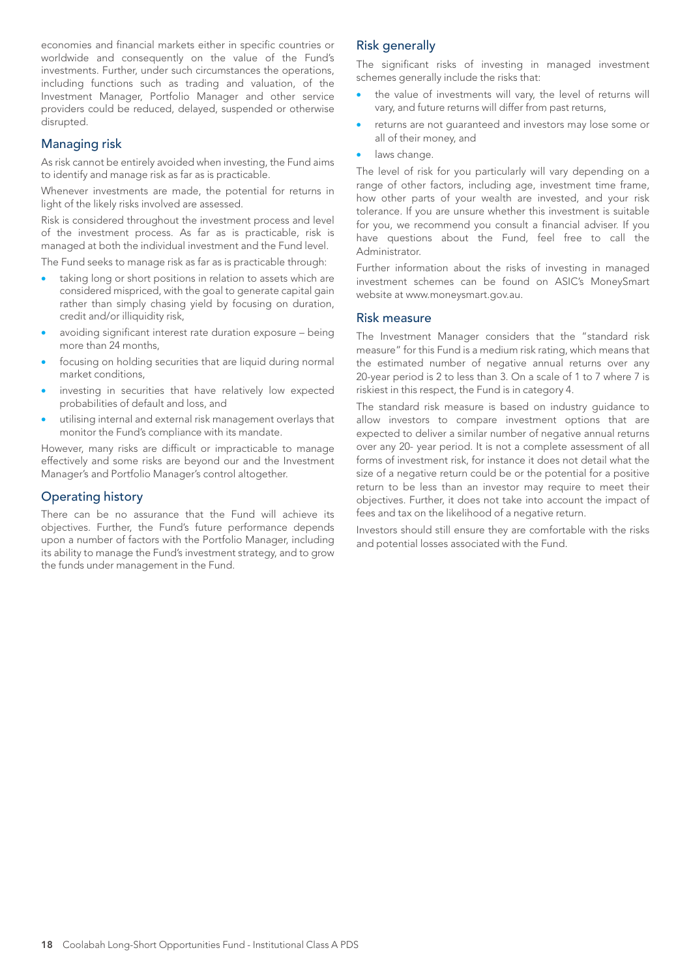economies and financial markets either in specific countries or worldwide and consequently on the value of the Fund's investments. Further, under such circumstances the operations, including functions such as trading and valuation, of the Investment Manager, Portfolio Manager and other service providers could be reduced, delayed, suspended or otherwise disrupted.

## Managing risk

As risk cannot be entirely avoided when investing, the Fund aims to identify and manage risk as far as is practicable.

Whenever investments are made, the potential for returns in light of the likely risks involved are assessed.

Risk is considered throughout the investment process and level of the investment process. As far as is practicable, risk is managed at both the individual investment and the Fund level.

The Fund seeks to manage risk as far as is practicable through:

- taking long or short positions in relation to assets which are considered mispriced, with the goal to generate capital gain rather than simply chasing yield by focusing on duration, credit and/or illiquidity risk,
- avoiding significant interest rate duration exposure being more than 24 months,
- focusing on holding securities that are liquid during normal market conditions,
- investing in securities that have relatively low expected probabilities of default and loss, and
- utilising internal and external risk management overlays that monitor the Fund's compliance with its mandate.

However, many risks are difficult or impracticable to manage effectively and some risks are beyond our and the Investment Manager's and Portfolio Manager's control altogether.

## Operating history

There can be no assurance that the Fund will achieve its objectives. Further, the Fund's future performance depends upon a number of factors with the Portfolio Manager, including its ability to manage the Fund's investment strategy, and to grow the funds under management in the Fund.

## Risk generally

The significant risks of investing in managed investment schemes generally include the risks that:

- the value of investments will vary, the level of returns will vary, and future returns will differ from past returns,
- returns are not guaranteed and investors may lose some or all of their money, and
- laws change.

The level of risk for you particularly will vary depending on a range of other factors, including age, investment time frame, how other parts of your wealth are invested, and your risk tolerance. If you are unsure whether this investment is suitable for you, we recommend you consult a financial adviser. If you have questions about the Fund, feel free to call the Administrator.

Further information about the risks of investing in managed investment schemes can be found on ASIC's MoneySmart website at www.moneysmart.gov.au.

## Risk measure

The Investment Manager considers that the "standard risk measure" for this Fund is a medium risk rating, which means that the estimated number of negative annual returns over any 20-year period is 2 to less than 3. On a scale of 1 to 7 where 7 is riskiest in this respect, the Fund is in category 4.

The standard risk measure is based on industry guidance to allow investors to compare investment options that are expected to deliver a similar number of negative annual returns over any 20- year period. It is not a complete assessment of all forms of investment risk, for instance it does not detail what the size of a negative return could be or the potential for a positive return to be less than an investor may require to meet their objectives. Further, it does not take into account the impact of fees and tax on the likelihood of a negative return.

Investors should still ensure they are comfortable with the risks and potential losses associated with the Fund.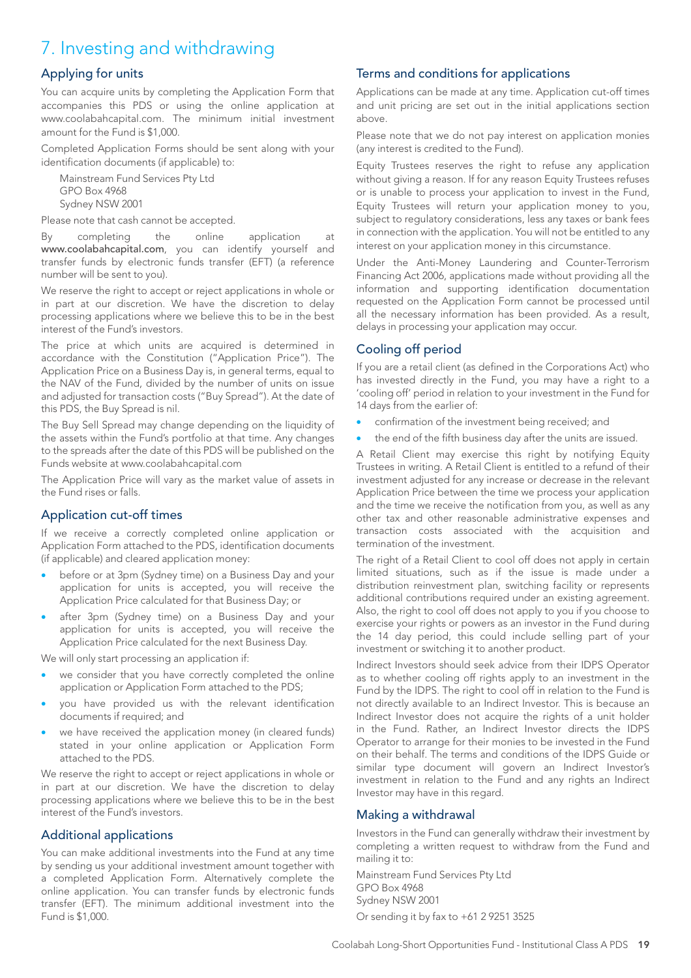## 7. Investing and withdrawing

## Applying for units

You can acquire units by completing the Application Form that accompanies this PDS or using the online application at www.coolabahcapital.com. The minimum initial investment amount for the Fund is \$1,000.

Completed Application Forms should be sent along with your identification documents (if applicable) to:

Mainstream Fund Services Pty Ltd GPO Box 4968 Sydney NSW 2001

Please note that cash cannot be accepted.

By completing the online application at www.coolabahcapital.com, you can identify yourself and transfer funds by electronic funds transfer (EFT) (a reference number will be sent to you).

We reserve the right to accept or reject applications in whole or in part at our discretion. We have the discretion to delay processing applications where we believe this to be in the best interest of the Fund's investors.

The price at which units are acquired is determined in accordance with the Constitution ("Application Price"). The Application Price on a Business Day is, in general terms, equal to the NAV of the Fund, divided by the number of units on issue and adjusted for transaction costs ("Buy Spread"). At the date of this PDS, the Buy Spread is nil.

The Buy Sell Spread may change depending on the liquidity of the assets within the Fund's portfolio at that time. Any changes to the spreads after the date of this PDS will be published on the Funds website at www.coolabahcapital.com

The Application Price will vary as the market value of assets in the Fund rises or falls.

## Application cut-off times

If we receive a correctly completed online application or Application Form attached to the PDS, identification documents (if applicable) and cleared application money:

- before or at 3pm (Sydney time) on a Business Day and your application for units is accepted, you will receive the Application Price calculated for that Business Day; or
- after 3pm (Sydney time) on a Business Day and your application for units is accepted, you will receive the Application Price calculated for the next Business Day.

We will only start processing an application if:

- we consider that you have correctly completed the online application or Application Form attached to the PDS;
- you have provided us with the relevant identification documents if required; and
- we have received the application money (in cleared funds) stated in your online application or Application Form attached to the PDS.

We reserve the right to accept or reject applications in whole or in part at our discretion. We have the discretion to delay processing applications where we believe this to be in the best interest of the Fund's investors.

## Additional applications

You can make additional investments into the Fund at any time by sending us your additional investment amount together with a completed Application Form. Alternatively complete the online application. You can transfer funds by electronic funds transfer (EFT). The minimum additional investment into the Fund is \$1,000.

## Terms and conditions for applications

Applications can be made at any time. Application cut-off times and unit pricing are set out in the initial applications section above.

Please note that we do not pay interest on application monies (any interest is credited to the Fund).

Equity Trustees reserves the right to refuse any application without giving a reason. If for any reason Equity Trustees refuses or is unable to process your application to invest in the Fund, Equity Trustees will return your application money to you, subject to regulatory considerations, less any taxes or bank fees in connection with the application. You will not be entitled to any interest on your application money in this circumstance.

Under the Anti-Money Laundering and Counter-Terrorism Financing Act 2006, applications made without providing all the information and supporting identification documentation requested on the Application Form cannot be processed until all the necessary information has been provided. As a result, delays in processing your application may occur.

## Cooling off period

If you are a retail client (as defined in the Corporations Act) who has invested directly in the Fund, you may have a right to a 'cooling off' period in relation to your investment in the Fund for 14 days from the earlier of:

- confirmation of the investment being received; and
- the end of the fifth business day after the units are issued.

A Retail Client may exercise this right by notifying Equity Trustees in writing. A Retail Client is entitled to a refund of their investment adjusted for any increase or decrease in the relevant Application Price between the time we process your application and the time we receive the notification from you, as well as any other tax and other reasonable administrative expenses and transaction costs associated with the acquisition and termination of the investment.

The right of a Retail Client to cool off does not apply in certain limited situations, such as if the issue is made under a distribution reinvestment plan, switching facility or represents additional contributions required under an existing agreement. Also, the right to cool off does not apply to you if you choose to exercise your rights or powers as an investor in the Fund during the 14 day period, this could include selling part of your investment or switching it to another product.

Indirect Investors should seek advice from their IDPS Operator as to whether cooling off rights apply to an investment in the Fund by the IDPS. The right to cool off in relation to the Fund is not directly available to an Indirect Investor. This is because an Indirect Investor does not acquire the rights of a unit holder in the Fund. Rather, an Indirect Investor directs the IDPS Operator to arrange for their monies to be invested in the Fund on their behalf. The terms and conditions of the IDPS Guide or similar type document will govern an Indirect Investor's investment in relation to the Fund and any rights an Indirect Investor may have in this regard.

## Making a withdrawal

Investors in the Fund can generally withdraw their investment by completing a written request to withdraw from the Fund and mailing it to:

Mainstream Fund Services Pty Ltd GPO Box 4968 Sydney NSW 2001 Or sending it by fax to +61 2 9251 3525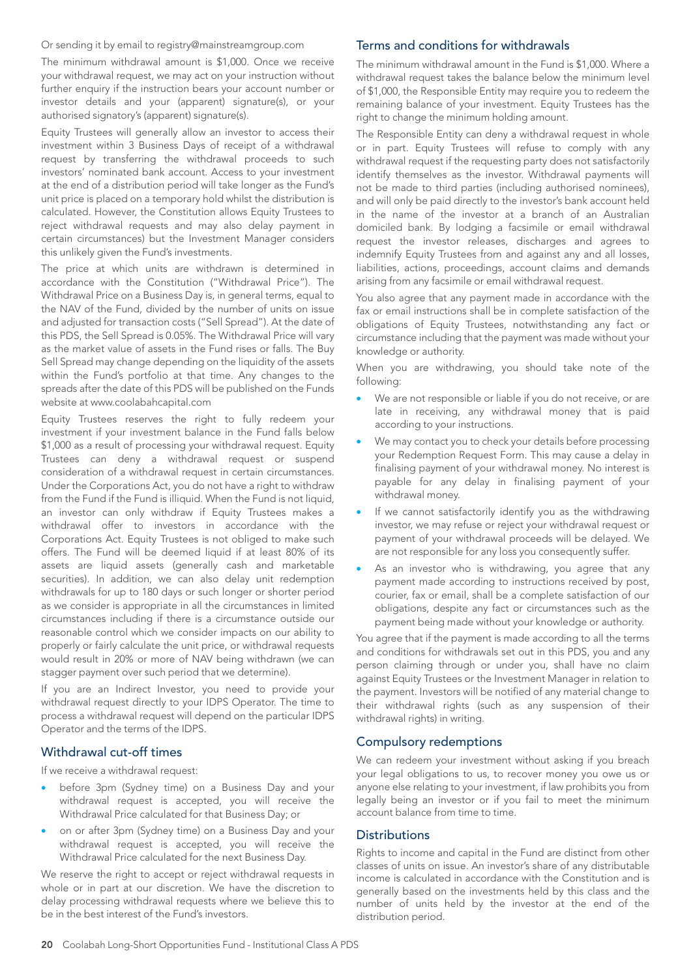#### Or sending it by email to registry@mainstreamgroup.com

The minimum withdrawal amount is \$1,000. Once we receive your withdrawal request, we may act on your instruction without further enquiry if the instruction bears your account number or investor details and your (apparent) signature(s), or your authorised signatory's (apparent) signature(s).

Equity Trustees will generally allow an investor to access their investment within 3 Business Days of receipt of a withdrawal request by transferring the withdrawal proceeds to such investors' nominated bank account. Access to your investment at the end of a distribution period will take longer as the Fund's unit price is placed on a temporary hold whilst the distribution is calculated. However, the Constitution allows Equity Trustees to reject withdrawal requests and may also delay payment in certain circumstances) but the Investment Manager considers this unlikely given the Fund's investments.

The price at which units are withdrawn is determined in accordance with the Constitution ("Withdrawal Price"). The Withdrawal Price on a Business Day is, in general terms, equal to the NAV of the Fund, divided by the number of units on issue and adjusted for transaction costs ("Sell Spread"). At the date of this PDS, the Sell Spread is 0.05%. The Withdrawal Price will vary as the market value of assets in the Fund rises or falls. The Buy Sell Spread may change depending on the liquidity of the assets within the Fund's portfolio at that time. Any changes to the spreads after the date of this PDS will be published on the Funds website at www.coolabahcapital.com

Equity Trustees reserves the right to fully redeem your investment if your investment balance in the Fund falls below \$1,000 as a result of processing your withdrawal request. Equity Trustees can deny a withdrawal request or suspend consideration of a withdrawal request in certain circumstances. Under the Corporations Act, you do not have a right to withdraw from the Fund if the Fund is illiquid. When the Fund is not liquid, an investor can only withdraw if Equity Trustees makes a withdrawal offer to investors in accordance with the Corporations Act. Equity Trustees is not obliged to make such offers. The Fund will be deemed liquid if at least 80% of its assets are liquid assets (generally cash and marketable securities). In addition, we can also delay unit redemption withdrawals for up to 180 days or such longer or shorter period as we consider is appropriate in all the circumstances in limited circumstances including if there is a circumstance outside our reasonable control which we consider impacts on our ability to properly or fairly calculate the unit price, or withdrawal requests would result in 20% or more of NAV being withdrawn (we can stagger payment over such period that we determine).

If you are an Indirect Investor, you need to provide your withdrawal request directly to your IDPS Operator. The time to process a withdrawal request will depend on the particular IDPS Operator and the terms of the IDPS.

#### Withdrawal cut-off times

If we receive a withdrawal request:

- before 3pm (Sydney time) on a Business Day and your withdrawal request is accepted, you will receive the Withdrawal Price calculated for that Business Day; or
- on or after 3pm (Sydney time) on a Business Day and your withdrawal request is accepted, you will receive the Withdrawal Price calculated for the next Business Day.

We reserve the right to accept or reject withdrawal requests in whole or in part at our discretion. We have the discretion to delay processing withdrawal requests where we believe this to be in the best interest of the Fund's investors.

## Terms and conditions for withdrawals

The minimum withdrawal amount in the Fund is \$1,000. Where a withdrawal request takes the balance below the minimum level of \$1,000, the Responsible Entity may require you to redeem the remaining balance of your investment. Equity Trustees has the right to change the minimum holding amount.

The Responsible Entity can deny a withdrawal request in whole or in part. Equity Trustees will refuse to comply with any withdrawal request if the requesting party does not satisfactorily identify themselves as the investor. Withdrawal payments will not be made to third parties (including authorised nominees), and will only be paid directly to the investor's bank account held in the name of the investor at a branch of an Australian domiciled bank. By lodging a facsimile or email withdrawal request the investor releases, discharges and agrees to indemnify Equity Trustees from and against any and all losses, liabilities, actions, proceedings, account claims and demands arising from any facsimile or email withdrawal request.

You also agree that any payment made in accordance with the fax or email instructions shall be in complete satisfaction of the obligations of Equity Trustees, notwithstanding any fact or circumstance including that the payment was made without your knowledge or authority.

When you are withdrawing, you should take note of the following:

- We are not responsible or liable if you do not receive, or are late in receiving, any withdrawal money that is paid according to your instructions.
- We may contact you to check your details before processing your Redemption Request Form. This may cause a delay in finalising payment of your withdrawal money. No interest is payable for any delay in finalising payment of your withdrawal money.
- If we cannot satisfactorily identify you as the withdrawing investor, we may refuse or reject your withdrawal request or payment of your withdrawal proceeds will be delayed. We are not responsible for any loss you consequently suffer.
- As an investor who is withdrawing, you agree that any payment made according to instructions received by post, courier, fax or email, shall be a complete satisfaction of our obligations, despite any fact or circumstances such as the payment being made without your knowledge or authority.

You agree that if the payment is made according to all the terms and conditions for withdrawals set out in this PDS, you and any person claiming through or under you, shall have no claim against Equity Trustees or the Investment Manager in relation to the payment. Investors will be notified of any material change to their withdrawal rights (such as any suspension of their withdrawal rights) in writing.

#### Compulsory redemptions

We can redeem your investment without asking if you breach your legal obligations to us, to recover money you owe us or anyone else relating to your investment, if law prohibits you from legally being an investor or if you fail to meet the minimum account balance from time to time.

#### **Distributions**

Rights to income and capital in the Fund are distinct from other classes of units on issue. An investor's share of any distributable income is calculated in accordance with the Constitution and is generally based on the investments held by this class and the number of units held by the investor at the end of the distribution period.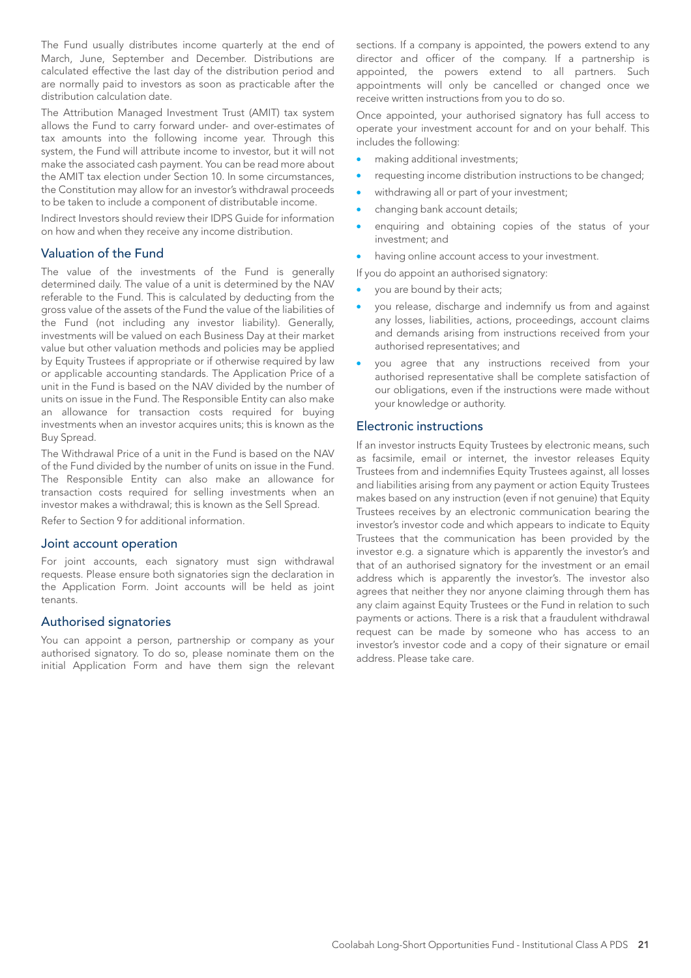The Fund usually distributes income quarterly at the end of March, June, September and December. Distributions are calculated effective the last day of the distribution period and are normally paid to investors as soon as practicable after the distribution calculation date.

The Attribution Managed Investment Trust (AMIT) tax system allows the Fund to carry forward under- and over-estimates of tax amounts into the following income year. Through this system, the Fund will attribute income to investor, but it will not make the associated cash payment. You can be read more about the AMIT tax election under Section 10. In some circumstances, the Constitution may allow for an investor's withdrawal proceeds to be taken to include a component of distributable income.

Indirect Investors should review their IDPS Guide for information on how and when they receive any income distribution.

## Valuation of the Fund

The value of the investments of the Fund is generally determined daily. The value of a unit is determined by the NAV referable to the Fund. This is calculated by deducting from the gross value of the assets of the Fund the value of the liabilities of the Fund (not including any investor liability). Generally, investments will be valued on each Business Day at their market value but other valuation methods and policies may be applied by Equity Trustees if appropriate or if otherwise required by law or applicable accounting standards. The Application Price of a unit in the Fund is based on the NAV divided by the number of units on issue in the Fund. The Responsible Entity can also make an allowance for transaction costs required for buying investments when an investor acquires units; this is known as the Buy Spread.

The Withdrawal Price of a unit in the Fund is based on the NAV of the Fund divided by the number of units on issue in the Fund. The Responsible Entity can also make an allowance for transaction costs required for selling investments when an investor makes a withdrawal; this is known as the Sell Spread.

Refer to Section 9 for additional information.

#### Joint account operation

For joint accounts, each signatory must sign withdrawal requests. Please ensure both signatories sign the declaration in the Application Form. Joint accounts will be held as joint tenants.

#### Authorised signatories

You can appoint a person, partnership or company as your authorised signatory. To do so, please nominate them on the initial Application Form and have them sign the relevant sections. If a company is appointed, the powers extend to any director and officer of the company. If a partnership is appointed, the powers extend to all partners. Such appointments will only be cancelled or changed once we receive written instructions from you to do so.

Once appointed, your authorised signatory has full access to operate your investment account for and on your behalf. This includes the following:

- making additional investments;
- requesting income distribution instructions to be changed:
- withdrawing all or part of your investment;
- changing bank account details;
- enquiring and obtaining copies of the status of your investment; and
- having online account access to your investment.

If you do appoint an authorised signatory:

- you are bound by their acts;
- you release, discharge and indemnify us from and against any losses, liabilities, actions, proceedings, account claims and demands arising from instructions received from your authorised representatives; and
- you agree that any instructions received from your authorised representative shall be complete satisfaction of our obligations, even if the instructions were made without your knowledge or authority.

#### Electronic instructions

If an investor instructs Equity Trustees by electronic means, such as facsimile, email or internet, the investor releases Equity Trustees from and indemnifies Equity Trustees against, all losses and liabilities arising from any payment or action Equity Trustees makes based on any instruction (even if not genuine) that Equity Trustees receives by an electronic communication bearing the investor's investor code and which appears to indicate to Equity Trustees that the communication has been provided by the investor e.g. a signature which is apparently the investor's and that of an authorised signatory for the investment or an email address which is apparently the investor's. The investor also agrees that neither they nor anyone claiming through them has any claim against Equity Trustees or the Fund in relation to such payments or actions. There is a risk that a fraudulent withdrawal request can be made by someone who has access to an investor's investor code and a copy of their signature or email address. Please take care.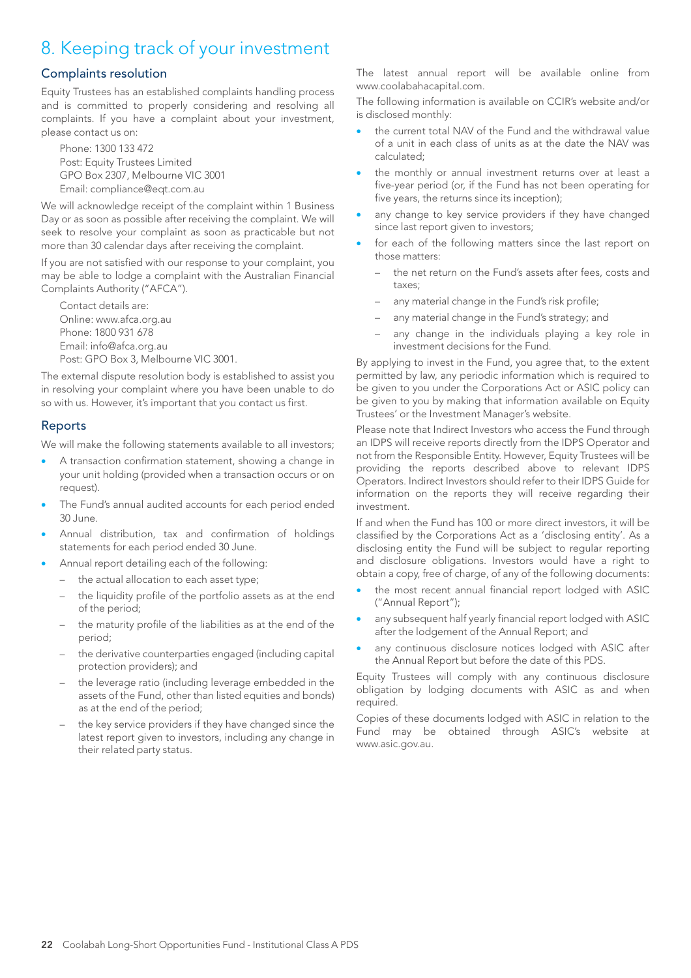## 8. Keeping track of your investment

## Complaints resolution

Equity Trustees has an established complaints handling process and is committed to properly considering and resolving all complaints. If you have a complaint about your investment, please contact us on:

Phone: 1300 133 472 Post: Equity Trustees Limited GPO Box 2307, Melbourne VIC 3001 Email: compliance@eqt.com.au

We will acknowledge receipt of the complaint within 1 Business Day or as soon as possible after receiving the complaint. We will seek to resolve your complaint as soon as practicable but not more than 30 calendar days after receiving the complaint.

If you are not satisfied with our response to your complaint, you may be able to lodge a complaint with the Australian Financial Complaints Authority ("AFCA").

Contact details are: Online: www.afca.org.au Phone: 1800 931 678 Email: info@afca.org.au Post: GPO Box 3, Melbourne VIC 3001.

The external dispute resolution body is established to assist you in resolving your complaint where you have been unable to do so with us. However, it's important that you contact us first.

## Reports

We will make the following statements available to all investors;

- A transaction confirmation statement, showing a change in your unit holding (provided when a transaction occurs or on request).
- The Fund's annual audited accounts for each period ended 30 June.
- Annual distribution, tax and confirmation of holdings statements for each period ended 30 June.
- Annual report detailing each of the following:
	- the actual allocation to each asset type;
	- the liquidity profile of the portfolio assets as at the end of the period;
	- the maturity profile of the liabilities as at the end of the period;
	- the derivative counterparties engaged (including capital protection providers); and
	- the leverage ratio (including leverage embedded in the assets of the Fund, other than listed equities and bonds) as at the end of the period;
	- the key service providers if they have changed since the latest report given to investors, including any change in their related party status.

The latest annual report will be available online from www.coolabahacapital.com.

The following information is available on CCIR's website and/or is disclosed monthly:

- the current total NAV of the Fund and the withdrawal value of a unit in each class of units as at the date the NAV was calculated;
- the monthly or annual investment returns over at least a five-year period (or, if the Fund has not been operating for five years, the returns since its inception);
- any change to key service providers if they have changed since last report given to investors;
- for each of the following matters since the last report on those matters:
	- the net return on the Fund's assets after fees, costs and taxes;
	- any material change in the Fund's risk profile;
	- any material change in the Fund's strategy; and
	- any change in the individuals playing a key role in investment decisions for the Fund.

By applying to invest in the Fund, you agree that, to the extent permitted by law, any periodic information which is required to be given to you under the Corporations Act or ASIC policy can be given to you by making that information available on Equity Trustees' or the Investment Manager's website.

Please note that Indirect Investors who access the Fund through an IDPS will receive reports directly from the IDPS Operator and not from the Responsible Entity. However, Equity Trustees will be providing the reports described above to relevant IDPS Operators. Indirect Investors should refer to their IDPS Guide for information on the reports they will receive regarding their investment.

If and when the Fund has 100 or more direct investors, it will be classified by the Corporations Act as a 'disclosing entity'. As a disclosing entity the Fund will be subject to regular reporting and disclosure obligations. Investors would have a right to obtain a copy, free of charge, of any of the following documents:

- the most recent annual financial report lodged with ASIC ("Annual Report");
- any subsequent half yearly financial report lodged with ASIC after the lodgement of the Annual Report; and
- any continuous disclosure notices lodged with ASIC after the Annual Report but before the date of this PDS.

Equity Trustees will comply with any continuous disclosure obligation by lodging documents with ASIC as and when required.

Copies of these documents lodged with ASIC in relation to the Fund may be obtained through ASIC's website at www.asic.gov.au.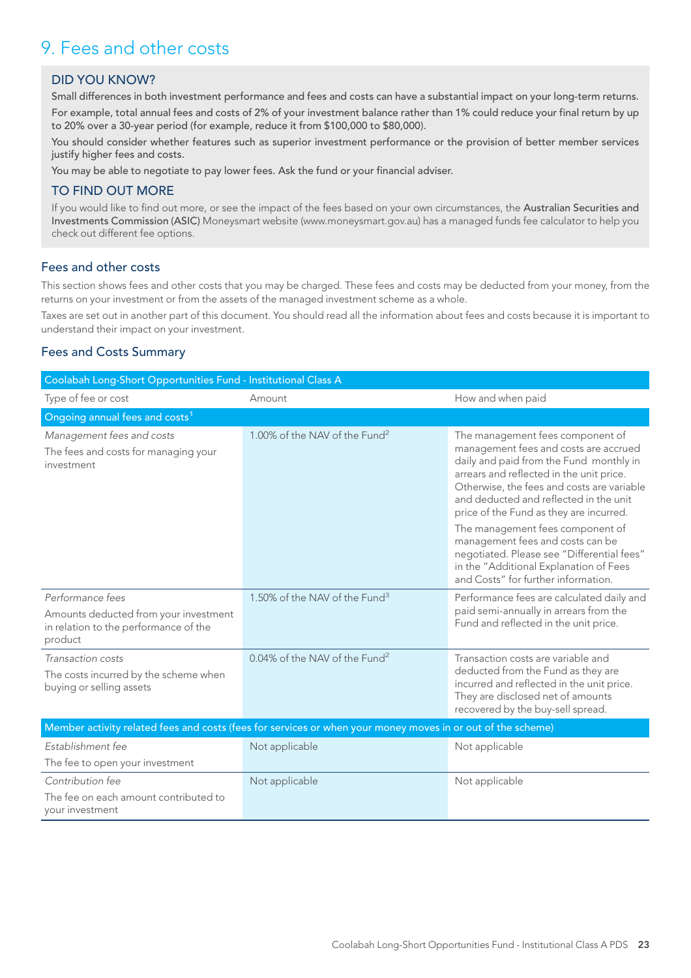## 9. Fees and other costs

## DID YOU KNOW?

Small differences in both investment performance and fees and costs can have a substantial impact on your long-term returns. For example, total annual fees and costs of 2% of your investment balance rather than 1% could reduce your final return by up to 20% over a 30-year period (for example, reduce it from \$100,000 to \$80,000).

You should consider whether features such as superior investment performance or the provision of better member services justify higher fees and costs.

You may be able to negotiate to pay lower fees. Ask the fund or your financial adviser.

## TO FIND OUT MORE

If you would like to find out more, or see the impact of the fees based on your own circumstances, the Australian Securities and Investments Commission (ASIC) Moneysmart website (www.moneysmart.gov.au) has a managed funds fee calculator to help you check out different fee options.

## Fees and other costs

This section shows fees and other costs that you may be charged. These fees and costs may be deducted from your money, from the returns on your investment or from the assets of the managed investment scheme as a whole.

Taxes are set out in another part of this document. You should read all the information about fees and costs because it is important to understand their impact on your investment.

## Fees and Costs Summary

| Coolabah Long-Short Opportunities Fund - Institutional Class A                                              |                                           |                                                                                                                                                                                                                                                                                                                                         |  |
|-------------------------------------------------------------------------------------------------------------|-------------------------------------------|-----------------------------------------------------------------------------------------------------------------------------------------------------------------------------------------------------------------------------------------------------------------------------------------------------------------------------------------|--|
| Type of fee or cost                                                                                         | Amount                                    | How and when paid                                                                                                                                                                                                                                                                                                                       |  |
| Ongoing annual fees and costs <sup>1</sup>                                                                  |                                           |                                                                                                                                                                                                                                                                                                                                         |  |
| Management fees and costs<br>The fees and costs for managing your<br>investment                             | 1.00% of the NAV of the Fund <sup>2</sup> | The management fees component of<br>management fees and costs are accrued<br>daily and paid from the Fund monthly in<br>arrears and reflected in the unit price.<br>Otherwise, the fees and costs are variable<br>and deducted and reflected in the unit<br>price of the Fund as they are incurred.<br>The management fees component of |  |
|                                                                                                             |                                           | management fees and costs can be<br>negotiated. Please see "Differential fees"<br>in the "Additional Explanation of Fees<br>and Costs" for further information.                                                                                                                                                                         |  |
| Performance fees                                                                                            | 1.50% of the NAV of the Fund <sup>3</sup> | Performance fees are calculated daily and                                                                                                                                                                                                                                                                                               |  |
| Amounts deducted from your investment<br>in relation to the performance of the<br>product                   |                                           | paid semi-annually in arrears from the<br>Fund and reflected in the unit price.                                                                                                                                                                                                                                                         |  |
| Transaction costs                                                                                           | 0.04% of the NAV of the Fund <sup>2</sup> | Transaction costs are variable and                                                                                                                                                                                                                                                                                                      |  |
| The costs incurred by the scheme when<br>buying or selling assets                                           |                                           | deducted from the Fund as they are<br>incurred and reflected in the unit price.<br>They are disclosed net of amounts<br>recovered by the buy-sell spread.                                                                                                                                                                               |  |
| Member activity related fees and costs (fees for services or when your money moves in or out of the scheme) |                                           |                                                                                                                                                                                                                                                                                                                                         |  |
| Establishment fee                                                                                           | Not applicable                            | Not applicable                                                                                                                                                                                                                                                                                                                          |  |
| The fee to open your investment                                                                             |                                           |                                                                                                                                                                                                                                                                                                                                         |  |
| Contribution fee                                                                                            | Not applicable                            | Not applicable                                                                                                                                                                                                                                                                                                                          |  |
| The fee on each amount contributed to<br>your investment                                                    |                                           |                                                                                                                                                                                                                                                                                                                                         |  |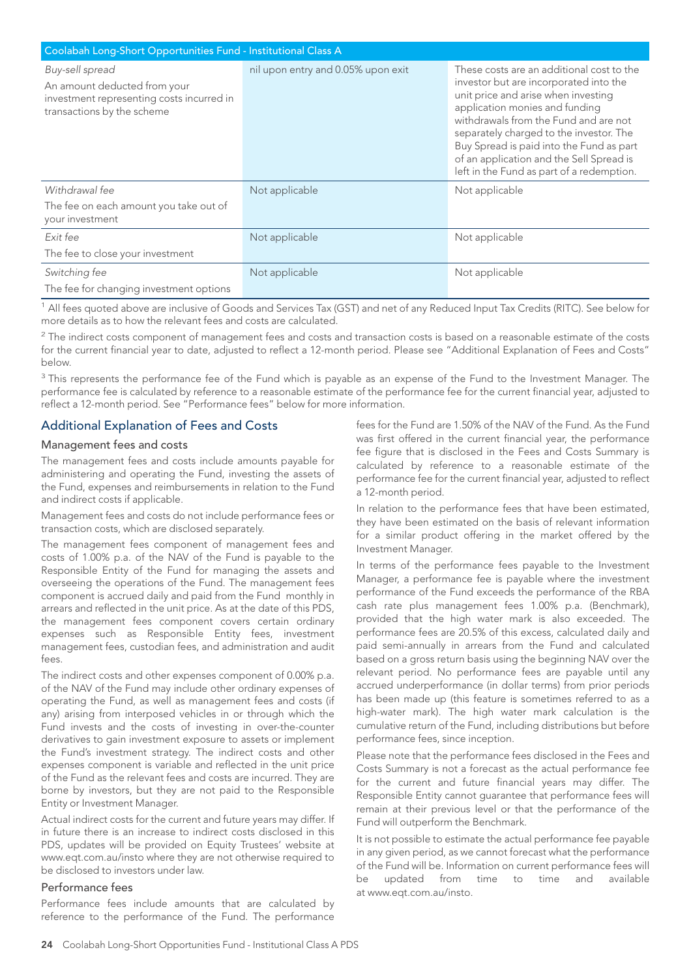| Coolabah Long-Short Opportunities Fund - Institutional Class A                                                             |                                    |                                                                                                                                                                                                                                                                                                                                                                                       |
|----------------------------------------------------------------------------------------------------------------------------|------------------------------------|---------------------------------------------------------------------------------------------------------------------------------------------------------------------------------------------------------------------------------------------------------------------------------------------------------------------------------------------------------------------------------------|
| Buy-sell spread<br>An amount deducted from your<br>investment representing costs incurred in<br>transactions by the scheme | nil upon entry and 0.05% upon exit | These costs are an additional cost to the<br>investor but are incorporated into the<br>unit price and arise when investing<br>application monies and funding<br>withdrawals from the Fund and are not<br>separately charged to the investor. The<br>Buy Spread is paid into the Fund as part<br>of an application and the Sell Spread is<br>left in the Fund as part of a redemption. |
| Withdrawal fee<br>The fee on each amount you take out of                                                                   | Not applicable                     | Not applicable                                                                                                                                                                                                                                                                                                                                                                        |
| your investment                                                                                                            |                                    |                                                                                                                                                                                                                                                                                                                                                                                       |
| Exit fee                                                                                                                   | Not applicable                     | Not applicable                                                                                                                                                                                                                                                                                                                                                                        |
| The fee to close your investment                                                                                           |                                    |                                                                                                                                                                                                                                                                                                                                                                                       |
| Switching fee                                                                                                              | Not applicable                     | Not applicable                                                                                                                                                                                                                                                                                                                                                                        |
| The fee for changing investment options                                                                                    |                                    |                                                                                                                                                                                                                                                                                                                                                                                       |

<sup>1</sup> All fees quoted above are inclusive of Goods and Services Tax (GST) and net of any Reduced Input Tax Credits (RITC). See below for more details as to how the relevant fees and costs are calculated.

 $2$  The indirect costs component of management fees and costs and transaction costs is based on a reasonable estimate of the costs for the current financial year to date, adjusted to reflect a 12-month period. Please see "Additional Explanation of Fees and Costs" below.

<sup>3</sup> This represents the performance fee of the Fund which is payable as an expense of the Fund to the Investment Manager. The performance fee is calculated by reference to a reasonable estimate of the performance fee for the current financial year, adjusted to reflect a 12-month period. See "Performance fees" below for more information.

## Additional Explanation of Fees and Costs

#### Management fees and costs

The management fees and costs include amounts payable for administering and operating the Fund, investing the assets of the Fund, expenses and reimbursements in relation to the Fund and indirect costs if applicable.

Management fees and costs do not include performance fees or transaction costs, which are disclosed separately.

The management fees component of management fees and costs of 1.00% p.a. of the NAV of the Fund is payable to the Responsible Entity of the Fund for managing the assets and overseeing the operations of the Fund. The management fees component is accrued daily and paid from the Fund monthly in arrears and reflected in the unit price. As at the date of this PDS, the management fees component covers certain ordinary expenses such as Responsible Entity fees, investment management fees, custodian fees, and administration and audit fees.

The indirect costs and other expenses component of 0.00% p.a. of the NAV of the Fund may include other ordinary expenses of operating the Fund, as well as management fees and costs (if any) arising from interposed vehicles in or through which the Fund invests and the costs of investing in over-the-counter derivatives to gain investment exposure to assets or implement the Fund's investment strategy. The indirect costs and other expenses component is variable and reflected in the unit price of the Fund as the relevant fees and costs are incurred. They are borne by investors, but they are not paid to the Responsible Entity or Investment Manager.

Actual indirect costs for the current and future years may differ. If in future there is an increase to indirect costs disclosed in this PDS, updates will be provided on Equity Trustees' website at www.eqt.com.au/insto where they are not otherwise required to be disclosed to investors under law.

#### Performance fees

Performance fees include amounts that are calculated by reference to the performance of the Fund. The performance

fees for the Fund are 1.50% of the NAV of the Fund. As the Fund was first offered in the current financial year, the performance fee figure that is disclosed in the Fees and Costs Summary is calculated by reference to a reasonable estimate of the performance fee for the current financial year, adjusted to reflect a 12-month period.

In relation to the performance fees that have been estimated, they have been estimated on the basis of relevant information for a similar product offering in the market offered by the Investment Manager.

In terms of the performance fees payable to the Investment Manager, a performance fee is payable where the investment performance of the Fund exceeds the performance of the RBA cash rate plus management fees 1.00% p.a. (Benchmark), provided that the high water mark is also exceeded. The performance fees are 20.5% of this excess, calculated daily and paid semi-annually in arrears from the Fund and calculated based on a gross return basis using the beginning NAV over the relevant period. No performance fees are payable until any accrued underperformance (in dollar terms) from prior periods has been made up (this feature is sometimes referred to as a high-water mark). The high water mark calculation is the cumulative return of the Fund, including distributions but before performance fees, since inception.

Please note that the performance fees disclosed in the Fees and Costs Summary is not a forecast as the actual performance fee for the current and future financial years may differ. The Responsible Entity cannot guarantee that performance fees will remain at their previous level or that the performance of the Fund will outperform the Benchmark.

It is not possible to estimate the actual performance fee payable in any given period, as we cannot forecast what the performance of the Fund will be. Information on current performance fees will be updated from time to time and available at www.eqt.com.au/insto.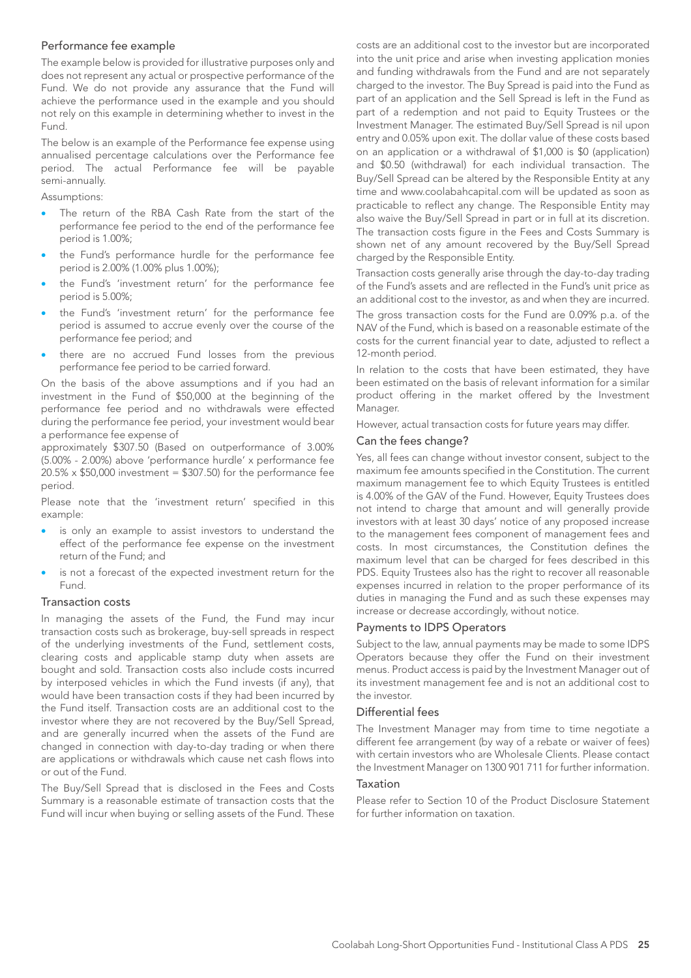#### Performance fee example

The example below is provided for illustrative purposes only and does not represent any actual or prospective performance of the Fund. We do not provide any assurance that the Fund will achieve the performance used in the example and you should not rely on this example in determining whether to invest in the Fund.

The below is an example of the Performance fee expense using annualised percentage calculations over the Performance fee period. The actual Performance fee will be payable semi-annually.

Assumptions:

- The return of the RBA Cash Rate from the start of the performance fee period to the end of the performance fee period is 1.00%;
- the Fund's performance hurdle for the performance fee period is 2.00% (1.00% plus 1.00%);
- the Fund's 'investment return' for the performance fee period is 5.00%;
- the Fund's 'investment return' for the performance fee period is assumed to accrue evenly over the course of the performance fee period; and
- there are no accrued Fund losses from the previous performance fee period to be carried forward.

On the basis of the above assumptions and if you had an investment in the Fund of \$50,000 at the beginning of the performance fee period and no withdrawals were effected during the performance fee period, your investment would bear a performance fee expense of

approximately \$307.50 (Based on outperformance of 3.00% (5.00% - 2.00%) above 'performance hurdle' x performance fee  $20.5\% \times $50,000$  investment = \$307.50) for the performance fee period.

Please note that the 'investment return' specified in this example:

- is only an example to assist investors to understand the effect of the performance fee expense on the investment return of the Fund; and
- is not a forecast of the expected investment return for the Fund.

#### Transaction costs

In managing the assets of the Fund, the Fund may incur transaction costs such as brokerage, buy-sell spreads in respect of the underlying investments of the Fund, settlement costs, clearing costs and applicable stamp duty when assets are bought and sold. Transaction costs also include costs incurred by interposed vehicles in which the Fund invests (if any), that would have been transaction costs if they had been incurred by the Fund itself. Transaction costs are an additional cost to the investor where they are not recovered by the Buy/Sell Spread, and are generally incurred when the assets of the Fund are changed in connection with day-to-day trading or when there are applications or withdrawals which cause net cash flows into or out of the Fund.

The Buy/Sell Spread that is disclosed in the Fees and Costs Summary is a reasonable estimate of transaction costs that the Fund will incur when buying or selling assets of the Fund. These costs are an additional cost to the investor but are incorporated into the unit price and arise when investing application monies and funding withdrawals from the Fund and are not separately charged to the investor. The Buy Spread is paid into the Fund as part of an application and the Sell Spread is left in the Fund as part of a redemption and not paid to Equity Trustees or the Investment Manager. The estimated Buy/Sell Spread is nil upon entry and 0.05% upon exit. The dollar value of these costs based on an application or a withdrawal of \$1,000 is \$0 (application) and \$0.50 (withdrawal) for each individual transaction. The Buy/Sell Spread can be altered by the Responsible Entity at any time and www.coolabahcapital.com will be updated as soon as practicable to reflect any change. The Responsible Entity may also waive the Buy/Sell Spread in part or in full at its discretion. The transaction costs figure in the Fees and Costs Summary is shown net of any amount recovered by the Buy/Sell Spread charged by the Responsible Entity.

Transaction costs generally arise through the day-to-day trading of the Fund's assets and are reflected in the Fund's unit price as an additional cost to the investor, as and when they are incurred.

The gross transaction costs for the Fund are 0.09% p.a. of the NAV of the Fund, which is based on a reasonable estimate of the costs for the current financial year to date, adjusted to reflect a 12-month period.

In relation to the costs that have been estimated, they have been estimated on the basis of relevant information for a similar product offering in the market offered by the Investment Manager.

However, actual transaction costs for future years may differ.

#### Can the fees change?

Yes, all fees can change without investor consent, subject to the maximum fee amounts specified in the Constitution. The current maximum management fee to which Equity Trustees is entitled is 4.00% of the GAV of the Fund. However, Equity Trustees does not intend to charge that amount and will generally provide investors with at least 30 days' notice of any proposed increase to the management fees component of management fees and costs. In most circumstances, the Constitution defines the maximum level that can be charged for fees described in this PDS. Equity Trustees also has the right to recover all reasonable expenses incurred in relation to the proper performance of its duties in managing the Fund and as such these expenses may increase or decrease accordingly, without notice.

#### Payments to IDPS Operators

Subject to the law, annual payments may be made to some IDPS Operators because they offer the Fund on their investment menus. Product access is paid by the Investment Manager out of its investment management fee and is not an additional cost to the investor.

#### Differential fees

The Investment Manager may from time to time negotiate a different fee arrangement (by way of a rebate or waiver of fees) with certain investors who are Wholesale Clients. Please contact the Investment Manager on 1300 901 711 for further information.

#### Taxation

Please refer to Section 10 of the Product Disclosure Statement for further information on taxation.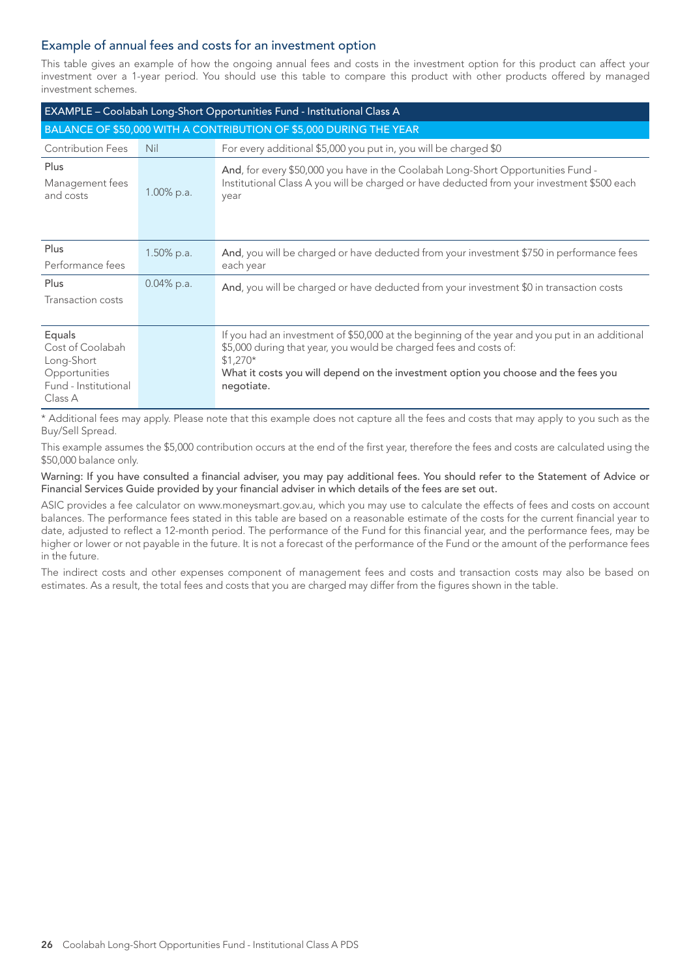## Example of annual fees and costs for an investment option

This table gives an example of how the ongoing annual fees and costs in the investment option for this product can affect your investment over a 1-year period. You should use this table to compare this product with other products offered by managed investment schemes.

| EXAMPLE - Coolabah Long-Short Opportunities Fund - Institutional Class A                     |               |                                                                                                                                                                                                                                                                                      |  |  |
|----------------------------------------------------------------------------------------------|---------------|--------------------------------------------------------------------------------------------------------------------------------------------------------------------------------------------------------------------------------------------------------------------------------------|--|--|
|                                                                                              |               | BALANCE OF \$50,000 WITH A CONTRIBUTION OF \$5,000 DURING THE YEAR                                                                                                                                                                                                                   |  |  |
| <b>Contribution Fees</b>                                                                     | Nil           | For every additional \$5,000 you put in, you will be charged \$0                                                                                                                                                                                                                     |  |  |
| Plus<br>Management fees<br>and costs                                                         | 1.00% p.a.    | And, for every \$50,000 you have in the Coolabah Long-Short Opportunities Fund -<br>Institutional Class A you will be charged or have deducted from your investment \$500 each<br>year                                                                                               |  |  |
| Plus<br>Performance fees                                                                     | $1.50\%$ p.a. | And, you will be charged or have deducted from your investment \$750 in performance fees<br>each year                                                                                                                                                                                |  |  |
| Plus<br>Transaction costs                                                                    | 0.04% p.a.    | And, you will be charged or have deducted from your investment \$0 in transaction costs                                                                                                                                                                                              |  |  |
| Equals<br>Cost of Coolabah<br>Long-Short<br>Opportunities<br>Fund - Institutional<br>Class A |               | If you had an investment of \$50,000 at the beginning of the year and you put in an additional<br>\$5,000 during that year, you would be charged fees and costs of:<br>$$1,270*$<br>What it costs you will depend on the investment option you choose and the fees you<br>negotiate. |  |  |

\* Additional fees may apply. Please note that this example does not capture all the fees and costs that may apply to you such as the Buy/Sell Spread.

This example assumes the \$5,000 contribution occurs at the end of the first year, therefore the fees and costs are calculated using the \$50,000 balance only.

Warning: If you have consulted a financial adviser, you may pay additional fees. You should refer to the Statement of Advice or Financial Services Guide provided by your financial adviser in which details of the fees are set out.

ASIC provides a fee calculator on www.moneysmart.gov.au, which you may use to calculate the effects of fees and costs on account balances. The performance fees stated in this table are based on a reasonable estimate of the costs for the current financial year to date, adjusted to reflect a 12-month period. The performance of the Fund for this financial year, and the performance fees, may be higher or lower or not payable in the future. It is not a forecast of the performance of the Fund or the amount of the performance fees in the future.

The indirect costs and other expenses component of management fees and costs and transaction costs may also be based on estimates. As a result, the total fees and costs that you are charged may differ from the figures shown in the table.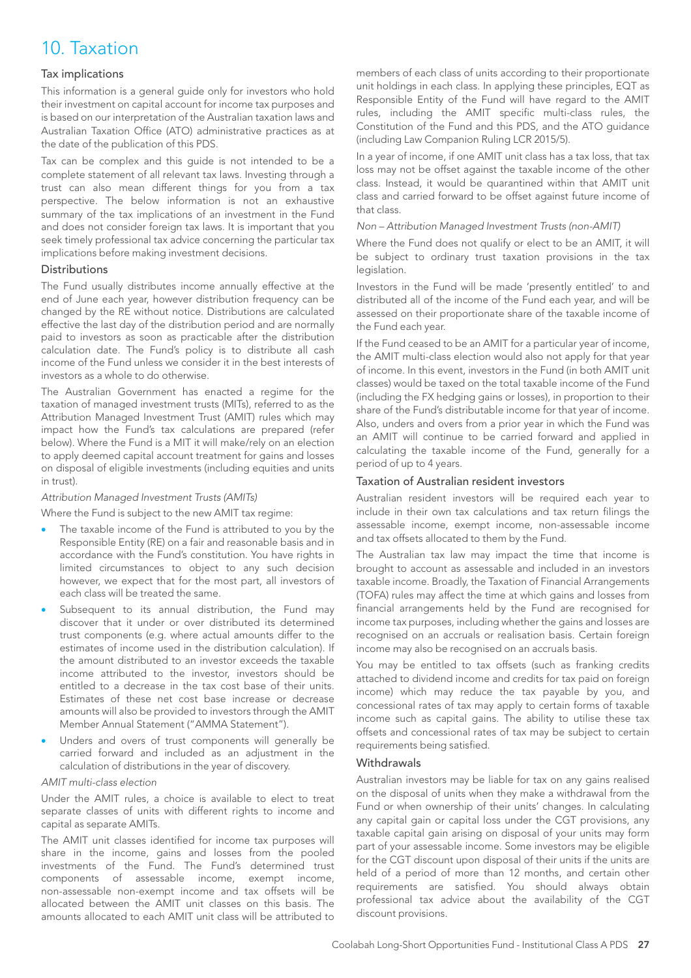## 10. Taxation

## Tax implications

This information is a general guide only for investors who hold their investment on capital account for income tax purposes and is based on our interpretation of the Australian taxation laws and Australian Taxation Office (ATO) administrative practices as at the date of the publication of this PDS.

Tax can be complex and this guide is not intended to be a complete statement of all relevant tax laws. Investing through a trust can also mean different things for you from a tax perspective. The below information is not an exhaustive summary of the tax implications of an investment in the Fund and does not consider foreign tax laws. It is important that you seek timely professional tax advice concerning the particular tax implications before making investment decisions.

#### **Distributions**

The Fund usually distributes income annually effective at the end of June each year, however distribution frequency can be changed by the RE without notice. Distributions are calculated effective the last day of the distribution period and are normally paid to investors as soon as practicable after the distribution calculation date. The Fund's policy is to distribute all cash income of the Fund unless we consider it in the best interests of investors as a whole to do otherwise.

The Australian Government has enacted a regime for the taxation of managed investment trusts (MITs), referred to as the Attribution Managed Investment Trust (AMIT) rules which may impact how the Fund's tax calculations are prepared (refer below). Where the Fund is a MIT it will make/rely on an election to apply deemed capital account treatment for gains and losses on disposal of eligible investments (including equities and units in trust).

#### *Attribution Managed Investment Trusts (AMITs)*

Where the Fund is subject to the new AMIT tax regime:

- The taxable income of the Fund is attributed to you by the Responsible Entity (RE) on a fair and reasonable basis and in accordance with the Fund's constitution. You have rights in limited circumstances to object to any such decision however, we expect that for the most part, all investors of each class will be treated the same.
- Subsequent to its annual distribution, the Fund may discover that it under or over distributed its determined trust components (e.g. where actual amounts differ to the estimates of income used in the distribution calculation). If the amount distributed to an investor exceeds the taxable income attributed to the investor, investors should be entitled to a decrease in the tax cost base of their units. Estimates of these net cost base increase or decrease amounts will also be provided to investors through the AMIT Member Annual Statement ("AMMA Statement").
- Unders and overs of trust components will generally be carried forward and included as an adjustment in the calculation of distributions in the year of discovery.

## *AMIT multi-class election*

Under the AMIT rules, a choice is available to elect to treat separate classes of units with different rights to income and capital as separate AMITs.

The AMIT unit classes identified for income tax purposes will share in the income, gains and losses from the pooled investments of the Fund. The Fund's determined trust components of assessable income, exempt income, non-assessable non-exempt income and tax offsets will be allocated between the AMIT unit classes on this basis. The amounts allocated to each AMIT unit class will be attributed to

members of each class of units according to their proportionate unit holdings in each class. In applying these principles, EQT as Responsible Entity of the Fund will have regard to the AMIT rules, including the AMIT specific multi-class rules, the Constitution of the Fund and this PDS, and the ATO guidance (including Law Companion Ruling LCR 2015/5).

In a year of income, if one AMIT unit class has a tax loss, that tax loss may not be offset against the taxable income of the other class. Instead, it would be quarantined within that AMIT unit class and carried forward to be offset against future income of that class.

#### *Non – Attribution Managed Investment Trusts (non-AMIT)*

Where the Fund does not qualify or elect to be an AMIT, it will be subject to ordinary trust taxation provisions in the tax legislation.

Investors in the Fund will be made 'presently entitled' to and distributed all of the income of the Fund each year, and will be assessed on their proportionate share of the taxable income of the Fund each year.

If the Fund ceased to be an AMIT for a particular year of income, the AMIT multi-class election would also not apply for that year of income. In this event, investors in the Fund (in both AMIT unit classes) would be taxed on the total taxable income of the Fund (including the FX hedging gains or losses), in proportion to their share of the Fund's distributable income for that year of income. Also, unders and overs from a prior year in which the Fund was an AMIT will continue to be carried forward and applied in calculating the taxable income of the Fund, generally for a period of up to 4 years.

#### Taxation of Australian resident investors

Australian resident investors will be required each year to include in their own tax calculations and tax return filings the assessable income, exempt income, non-assessable income and tax offsets allocated to them by the Fund.

The Australian tax law may impact the time that income is brought to account as assessable and included in an investors taxable income. Broadly, the Taxation of Financial Arrangements (TOFA) rules may affect the time at which gains and losses from financial arrangements held by the Fund are recognised for income tax purposes, including whether the gains and losses are recognised on an accruals or realisation basis. Certain foreign income may also be recognised on an accruals basis.

You may be entitled to tax offsets (such as franking credits attached to dividend income and credits for tax paid on foreign income) which may reduce the tax payable by you, and concessional rates of tax may apply to certain forms of taxable income such as capital gains. The ability to utilise these tax offsets and concessional rates of tax may be subject to certain requirements being satisfied.

#### **Withdrawals**

Australian investors may be liable for tax on any gains realised on the disposal of units when they make a withdrawal from the Fund or when ownership of their units' changes. In calculating any capital gain or capital loss under the CGT provisions, any taxable capital gain arising on disposal of your units may form part of your assessable income. Some investors may be eligible for the CGT discount upon disposal of their units if the units are held of a period of more than 12 months, and certain other requirements are satisfied. You should always obtain professional tax advice about the availability of the CGT discount provisions.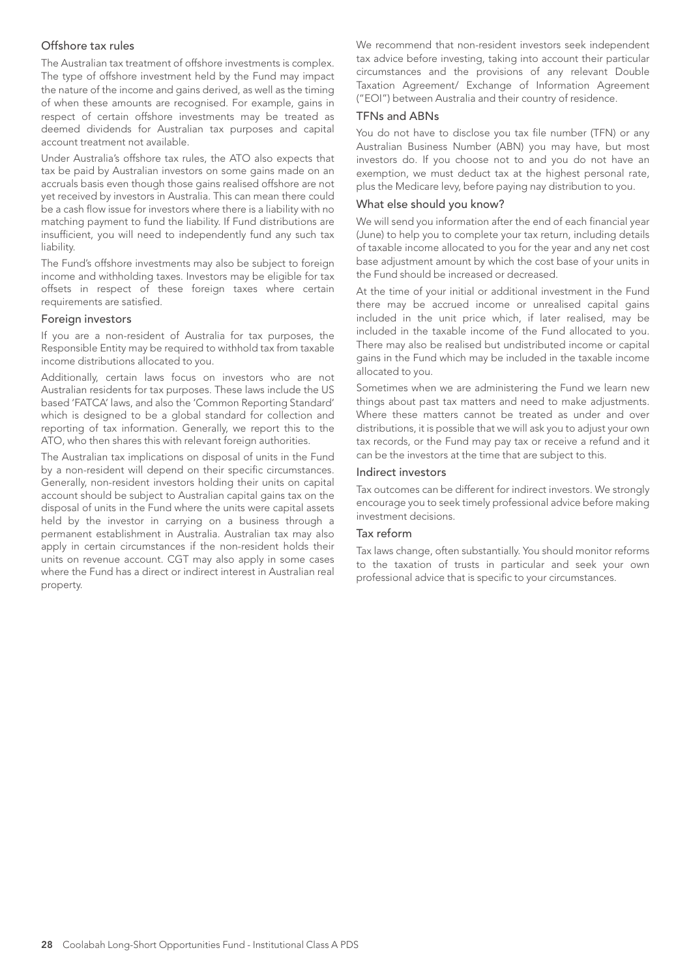#### Offshore tax rules

The Australian tax treatment of offshore investments is complex. The type of offshore investment held by the Fund may impact the nature of the income and gains derived, as well as the timing of when these amounts are recognised. For example, gains in respect of certain offshore investments may be treated as deemed dividends for Australian tax purposes and capital account treatment not available.

Under Australia's offshore tax rules, the ATO also expects that tax be paid by Australian investors on some gains made on an accruals basis even though those gains realised offshore are not yet received by investors in Australia. This can mean there could be a cash flow issue for investors where there is a liability with no matching payment to fund the liability. If Fund distributions are insufficient, you will need to independently fund any such tax liability.

The Fund's offshore investments may also be subject to foreign income and withholding taxes. Investors may be eligible for tax offsets in respect of these foreign taxes where certain requirements are satisfied.

#### Foreign investors

If you are a non-resident of Australia for tax purposes, the Responsible Entity may be required to withhold tax from taxable income distributions allocated to you.

Additionally, certain laws focus on investors who are not Australian residents for tax purposes. These laws include the US based 'FATCA' laws, and also the 'Common Reporting Standard' which is designed to be a global standard for collection and reporting of tax information. Generally, we report this to the ATO, who then shares this with relevant foreign authorities.

The Australian tax implications on disposal of units in the Fund by a non-resident will depend on their specific circumstances. Generally, non-resident investors holding their units on capital account should be subject to Australian capital gains tax on the disposal of units in the Fund where the units were capital assets held by the investor in carrying on a business through a permanent establishment in Australia. Australian tax may also apply in certain circumstances if the non-resident holds their units on revenue account. CGT may also apply in some cases where the Fund has a direct or indirect interest in Australian real property.

We recommend that non-resident investors seek independent tax advice before investing, taking into account their particular circumstances and the provisions of any relevant Double Taxation Agreement/ Exchange of Information Agreement ("EOI") between Australia and their country of residence.

#### TFNs and ABNs

You do not have to disclose you tax file number (TFN) or any Australian Business Number (ABN) you may have, but most investors do. If you choose not to and you do not have an exemption, we must deduct tax at the highest personal rate, plus the Medicare levy, before paying nay distribution to you.

## What else should you know?

We will send you information after the end of each financial year (June) to help you to complete your tax return, including details of taxable income allocated to you for the year and any net cost base adjustment amount by which the cost base of your units in the Fund should be increased or decreased.

At the time of your initial or additional investment in the Fund there may be accrued income or unrealised capital gains included in the unit price which, if later realised, may be included in the taxable income of the Fund allocated to you. There may also be realised but undistributed income or capital gains in the Fund which may be included in the taxable income allocated to you.

Sometimes when we are administering the Fund we learn new things about past tax matters and need to make adjustments. Where these matters cannot be treated as under and over distributions, it is possible that we will ask you to adjust your own tax records, or the Fund may pay tax or receive a refund and it can be the investors at the time that are subject to this.

#### Indirect investors

Tax outcomes can be different for indirect investors. We strongly encourage you to seek timely professional advice before making investment decisions.

#### Tax reform

Tax laws change, often substantially. You should monitor reforms to the taxation of trusts in particular and seek your own professional advice that is specific to your circumstances.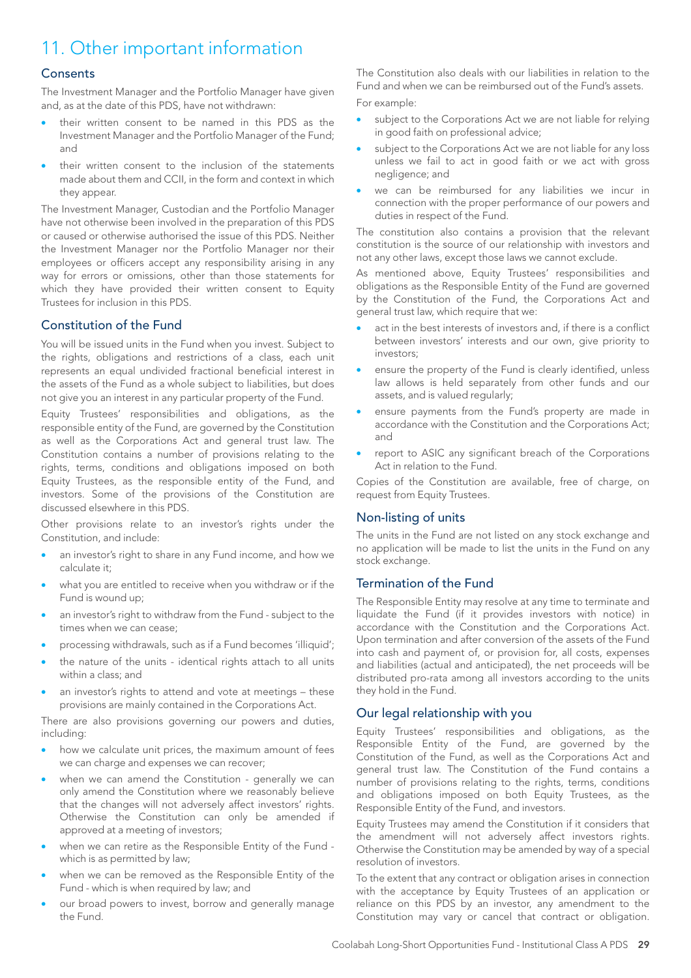## 11. Other important information

## **Consents**

The Investment Manager and the Portfolio Manager have given and, as at the date of this PDS, have not withdrawn:

- their written consent to be named in this PDS as the Investment Manager and the Portfolio Manager of the Fund; and
- their written consent to the inclusion of the statements made about them and CCII, in the form and context in which they appear.

The Investment Manager, Custodian and the Portfolio Manager have not otherwise been involved in the preparation of this PDS or caused or otherwise authorised the issue of this PDS. Neither the Investment Manager nor the Portfolio Manager nor their employees or officers accept any responsibility arising in any way for errors or omissions, other than those statements for which they have provided their written consent to Equity Trustees for inclusion in this PDS.

## Constitution of the Fund

You will be issued units in the Fund when you invest. Subject to the rights, obligations and restrictions of a class, each unit represents an equal undivided fractional beneficial interest in the assets of the Fund as a whole subject to liabilities, but does not give you an interest in any particular property of the Fund.

Equity Trustees' responsibilities and obligations, as the responsible entity of the Fund, are governed by the Constitution as well as the Corporations Act and general trust law. The Constitution contains a number of provisions relating to the rights, terms, conditions and obligations imposed on both Equity Trustees, as the responsible entity of the Fund, and investors. Some of the provisions of the Constitution are discussed elsewhere in this PDS.

Other provisions relate to an investor's rights under the Constitution, and include:

- an investor's right to share in any Fund income, and how we calculate it;
- what you are entitled to receive when you withdraw or if the Fund is wound up;
- an investor's right to withdraw from the Fund subject to the times when we can cease;
- processing withdrawals, such as if a Fund becomes 'illiquid';
- the nature of the units identical rights attach to all units within a class; and
- an investor's rights to attend and vote at meetings these provisions are mainly contained in the Corporations Act.

There are also provisions governing our powers and duties, including:

- how we calculate unit prices, the maximum amount of fees we can charge and expenses we can recover;
- when we can amend the Constitution generally we can only amend the Constitution where we reasonably believe that the changes will not adversely affect investors' rights. Otherwise the Constitution can only be amended if approved at a meeting of investors;
- when we can retire as the Responsible Entity of the Fund which is as permitted by law;
- when we can be removed as the Responsible Entity of the Fund - which is when required by law; and
- our broad powers to invest, borrow and generally manage the Fund.

The Constitution also deals with our liabilities in relation to the Fund and when we can be reimbursed out of the Fund's assets. For example:

- subject to the Corporations Act we are not liable for relying in good faith on professional advice;
- subject to the Corporations Act we are not liable for any loss unless we fail to act in good faith or we act with gross negligence; and
- we can be reimbursed for any liabilities we incur in connection with the proper performance of our powers and duties in respect of the Fund.

The constitution also contains a provision that the relevant constitution is the source of our relationship with investors and not any other laws, except those laws we cannot exclude.

As mentioned above, Equity Trustees' responsibilities and obligations as the Responsible Entity of the Fund are governed by the Constitution of the Fund, the Corporations Act and general trust law, which require that we:

- act in the best interests of investors and, if there is a conflict between investors' interests and our own, give priority to investors;
- ensure the property of the Fund is clearly identified, unless law allows is held separately from other funds and our assets, and is valued regularly;
- ensure payments from the Fund's property are made in accordance with the Constitution and the Corporations Act; and
- report to ASIC any significant breach of the Corporations Act in relation to the Fund.

Copies of the Constitution are available, free of charge, on request from Equity Trustees.

## Non-listing of units

The units in the Fund are not listed on any stock exchange and no application will be made to list the units in the Fund on any stock exchange.

## Termination of the Fund

The Responsible Entity may resolve at any time to terminate and liquidate the Fund (if it provides investors with notice) in accordance with the Constitution and the Corporations Act. Upon termination and after conversion of the assets of the Fund into cash and payment of, or provision for, all costs, expenses and liabilities (actual and anticipated), the net proceeds will be distributed pro-rata among all investors according to the units they hold in the Fund.

## Our legal relationship with you

Equity Trustees' responsibilities and obligations, as the Responsible Entity of the Fund, are governed by the Constitution of the Fund, as well as the Corporations Act and general trust law. The Constitution of the Fund contains a number of provisions relating to the rights, terms, conditions and obligations imposed on both Equity Trustees, as the Responsible Entity of the Fund, and investors.

Equity Trustees may amend the Constitution if it considers that the amendment will not adversely affect investors rights. Otherwise the Constitution may be amended by way of a special resolution of investors.

To the extent that any contract or obligation arises in connection with the acceptance by Equity Trustees of an application or reliance on this PDS by an investor, any amendment to the Constitution may vary or cancel that contract or obligation.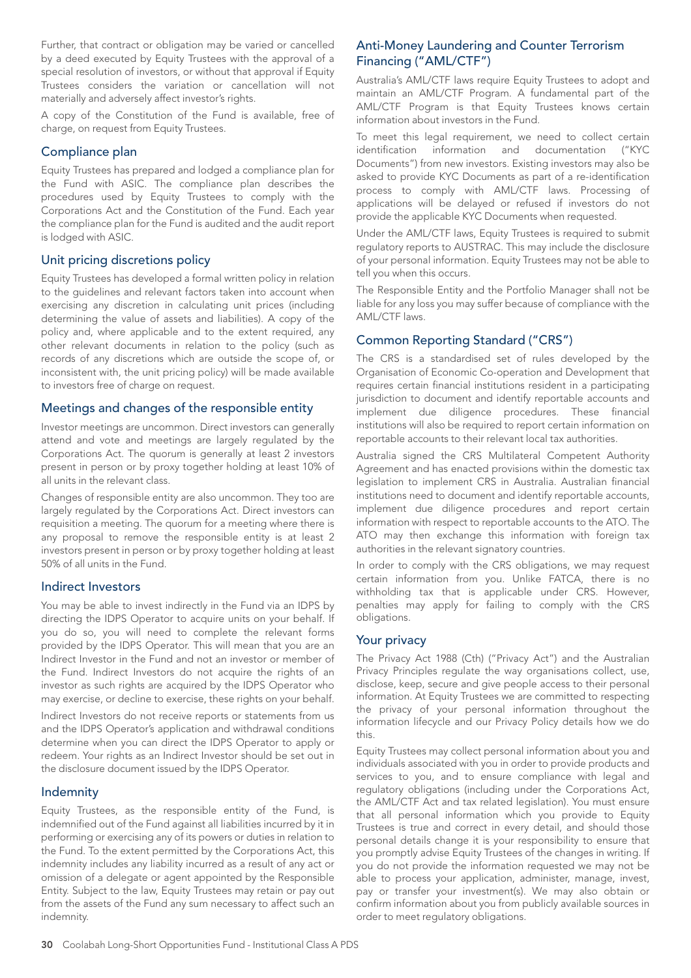Further, that contract or obligation may be varied or cancelled by a deed executed by Equity Trustees with the approval of a special resolution of investors, or without that approval if Equity Trustees considers the variation or cancellation will not materially and adversely affect investor's rights.

A copy of the Constitution of the Fund is available, free of charge, on request from Equity Trustees.

## Compliance plan

Equity Trustees has prepared and lodged a compliance plan for the Fund with ASIC. The compliance plan describes the procedures used by Equity Trustees to comply with the Corporations Act and the Constitution of the Fund. Each year the compliance plan for the Fund is audited and the audit report is lodged with ASIC.

## Unit pricing discretions policy

Equity Trustees has developed a formal written policy in relation to the guidelines and relevant factors taken into account when exercising any discretion in calculating unit prices (including determining the value of assets and liabilities). A copy of the policy and, where applicable and to the extent required, any other relevant documents in relation to the policy (such as records of any discretions which are outside the scope of, or inconsistent with, the unit pricing policy) will be made available to investors free of charge on request.

## Meetings and changes of the responsible entity

Investor meetings are uncommon. Direct investors can generally attend and vote and meetings are largely regulated by the Corporations Act. The quorum is generally at least 2 investors present in person or by proxy together holding at least 10% of all units in the relevant class.

Changes of responsible entity are also uncommon. They too are largely regulated by the Corporations Act. Direct investors can requisition a meeting. The quorum for a meeting where there is any proposal to remove the responsible entity is at least 2 investors present in person or by proxy together holding at least 50% of all units in the Fund.

## Indirect Investors

You may be able to invest indirectly in the Fund via an IDPS by directing the IDPS Operator to acquire units on your behalf. If you do so, you will need to complete the relevant forms provided by the IDPS Operator. This will mean that you are an Indirect Investor in the Fund and not an investor or member of the Fund. Indirect Investors do not acquire the rights of an investor as such rights are acquired by the IDPS Operator who may exercise, or decline to exercise, these rights on your behalf.

Indirect Investors do not receive reports or statements from us and the IDPS Operator's application and withdrawal conditions determine when you can direct the IDPS Operator to apply or redeem. Your rights as an Indirect Investor should be set out in the disclosure document issued by the IDPS Operator.

## Indemnity

Equity Trustees, as the responsible entity of the Fund, is indemnified out of the Fund against all liabilities incurred by it in performing or exercising any of its powers or duties in relation to the Fund. To the extent permitted by the Corporations Act, this indemnity includes any liability incurred as a result of any act or omission of a delegate or agent appointed by the Responsible Entity. Subject to the law, Equity Trustees may retain or pay out from the assets of the Fund any sum necessary to affect such an indemnity.

## Anti-Money Laundering and Counter Terrorism Financing ("AML/CTF")

Australia's AML/CTF laws require Equity Trustees to adopt and maintain an AML/CTF Program. A fundamental part of the AML/CTF Program is that Equity Trustees knows certain information about investors in the Fund.

To meet this legal requirement, we need to collect certain identification information and documentation ("KYC Documents") from new investors. Existing investors may also be asked to provide KYC Documents as part of a re-identification process to comply with AML/CTF laws. Processing of applications will be delayed or refused if investors do not provide the applicable KYC Documents when requested.

Under the AML/CTF laws, Equity Trustees is required to submit regulatory reports to AUSTRAC. This may include the disclosure of your personal information. Equity Trustees may not be able to tell you when this occurs.

The Responsible Entity and the Portfolio Manager shall not be liable for any loss you may suffer because of compliance with the AML/CTF laws.

## Common Reporting Standard ("CRS")

The CRS is a standardised set of rules developed by the Organisation of Economic Co-operation and Development that requires certain financial institutions resident in a participating jurisdiction to document and identify reportable accounts and implement due diligence procedures. These financial institutions will also be required to report certain information on reportable accounts to their relevant local tax authorities.

Australia signed the CRS Multilateral Competent Authority Agreement and has enacted provisions within the domestic tax legislation to implement CRS in Australia. Australian financial institutions need to document and identify reportable accounts, implement due diligence procedures and report certain information with respect to reportable accounts to the ATO. The ATO may then exchange this information with foreign tax authorities in the relevant signatory countries.

In order to comply with the CRS obligations, we may request certain information from you. Unlike FATCA, there is no withholding tax that is applicable under CRS. However, penalties may apply for failing to comply with the CRS obligations.

## Your privacy

The Privacy Act 1988 (Cth) ("Privacy Act") and the Australian Privacy Principles regulate the way organisations collect, use, disclose, keep, secure and give people access to their personal information. At Equity Trustees we are committed to respecting the privacy of your personal information throughout the information lifecycle and our Privacy Policy details how we do this.

Equity Trustees may collect personal information about you and individuals associated with you in order to provide products and services to you, and to ensure compliance with legal and regulatory obligations (including under the Corporations Act, the AML/CTF Act and tax related legislation). You must ensure that all personal information which you provide to Equity Trustees is true and correct in every detail, and should those personal details change it is your responsibility to ensure that you promptly advise Equity Trustees of the changes in writing. If you do not provide the information requested we may not be able to process your application, administer, manage, invest, pay or transfer your investment(s). We may also obtain or confirm information about you from publicly available sources in order to meet regulatory obligations.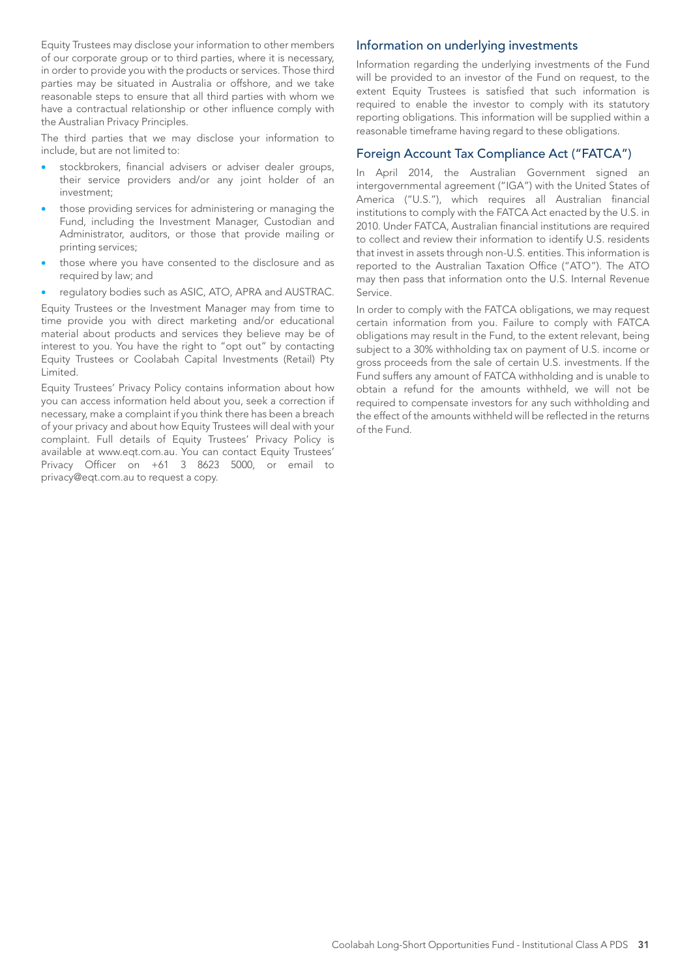Equity Trustees may disclose your information to other members of our corporate group or to third parties, where it is necessary, in order to provide you with the products or services. Those third parties may be situated in Australia or offshore, and we take reasonable steps to ensure that all third parties with whom we have a contractual relationship or other influence comply with the Australian Privacy Principles.

The third parties that we may disclose your information to include, but are not limited to:

- stockbrokers, financial advisers or adviser dealer groups, their service providers and/or any joint holder of an investment;
- those providing services for administering or managing the Fund, including the Investment Manager, Custodian and Administrator, auditors, or those that provide mailing or printing services;
- those where you have consented to the disclosure and as required by law; and
- regulatory bodies such as ASIC, ATO, APRA and AUSTRAC.

Equity Trustees or the Investment Manager may from time to time provide you with direct marketing and/or educational material about products and services they believe may be of interest to you. You have the right to "opt out" by contacting Equity Trustees or Coolabah Capital Investments (Retail) Pty Limited.

Equity Trustees' Privacy Policy contains information about how you can access information held about you, seek a correction if necessary, make a complaint if you think there has been a breach of your privacy and about how Equity Trustees will deal with your complaint. Full details of Equity Trustees' Privacy Policy is available at www.eqt.com.au. You can contact Equity Trustees' Privacy Officer on +61 3 8623 5000, or email to privacy@eqt.com.au to request a copy.

## Information on underlying investments

Information regarding the underlying investments of the Fund will be provided to an investor of the Fund on request, to the extent Equity Trustees is satisfied that such information is required to enable the investor to comply with its statutory reporting obligations. This information will be supplied within a reasonable timeframe having regard to these obligations.

## Foreign Account Tax Compliance Act ("FATCA")

In April 2014, the Australian Government signed an intergovernmental agreement ("IGA") with the United States of America ("U.S."), which requires all Australian financial institutions to comply with the FATCA Act enacted by the U.S. in 2010. Under FATCA, Australian financial institutions are required to collect and review their information to identify U.S. residents that invest in assets through non-U.S. entities. This information is reported to the Australian Taxation Office ("ATO"). The ATO may then pass that information onto the U.S. Internal Revenue Service.

In order to comply with the FATCA obligations, we may request certain information from you. Failure to comply with FATCA obligations may result in the Fund, to the extent relevant, being subject to a 30% withholding tax on payment of U.S. income or gross proceeds from the sale of certain U.S. investments. If the Fund suffers any amount of FATCA withholding and is unable to obtain a refund for the amounts withheld, we will not be required to compensate investors for any such withholding and the effect of the amounts withheld will be reflected in the returns of the Fund.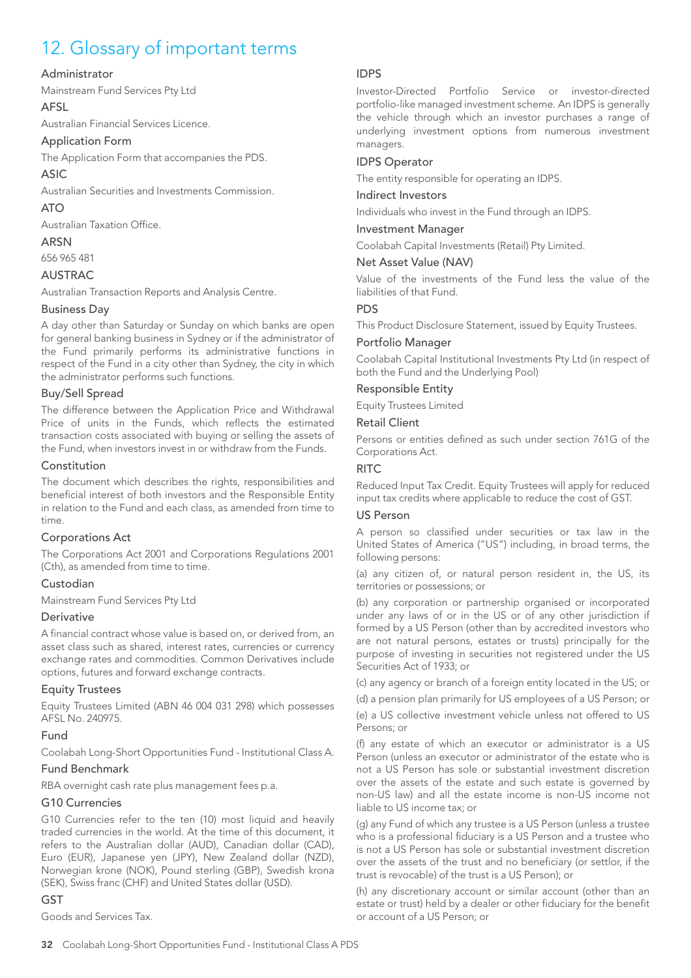## 12. Glossary of important terms

#### Administrator

Mainstream Fund Services Pty Ltd

#### AFSL

Australian Financial Services Licence.

#### Application Form

The Application Form that accompanies the PDS.

#### ASIC

Australian Securities and Investments Commission.

## ATO

Australian Taxation Office.

### ARSN

656 965 481

## AUSTRAC

Australian Transaction Reports and Analysis Centre.

#### Business Day

A day other than Saturday or Sunday on which banks are open for general banking business in Sydney or if the administrator of the Fund primarily performs its administrative functions in respect of the Fund in a city other than Sydney, the city in which the administrator performs such functions.

#### Buy/Sell Spread

The difference between the Application Price and Withdrawal Price of units in the Funds, which reflects the estimated transaction costs associated with buying or selling the assets of the Fund, when investors invest in or withdraw from the Funds.

#### Constitution

The document which describes the rights, responsibilities and beneficial interest of both investors and the Responsible Entity in relation to the Fund and each class, as amended from time to time.

## Corporations Act

The Corporations Act 2001 and Corporations Regulations 2001 (Cth), as amended from time to time.

## Custodian

Mainstream Fund Services Pty Ltd

#### **Derivative**

A financial contract whose value is based on, or derived from, an asset class such as shared, interest rates, currencies or currency exchange rates and commodities. Common Derivatives include options, futures and forward exchange contracts.

#### Equity Trustees

Equity Trustees Limited (ABN 46 004 031 298) which possesses AFSL No. 240975.

## Fund

Coolabah Long-Short Opportunities Fund - Institutional Class A.

#### Fund Benchmark

RBA overnight cash rate plus management fees p.a.

#### G10 Currencies

G10 Currencies refer to the ten (10) most liquid and heavily traded currencies in the world. At the time of this document, it refers to the Australian dollar (AUD), Canadian dollar (CAD), Euro (EUR), Japanese yen (JPY), New Zealand dollar (NZD), Norwegian krone (NOK), Pound sterling (GBP), Swedish krona (SEK), Swiss franc (CHF) and United States dollar (USD).

## GST

Goods and Services Tax.

## IDPS

Investor-Directed Portfolio Service or investor-directed portfolio-like managed investment scheme. An IDPS is generally the vehicle through which an investor purchases a range of underlying investment options from numerous investment managers.

### IDPS Operator

The entity responsible for operating an IDPS.

#### Indirect Investors

Individuals who invest in the Fund through an IDPS.

#### Investment Manager

Coolabah Capital Investments (Retail) Pty Limited.

#### Net Asset Value (NAV)

Value of the investments of the Fund less the value of the liabilities of that Fund.

#### PDS

This Product Disclosure Statement, issued by Equity Trustees.

#### Portfolio Manager

Coolabah Capital Institutional Investments Pty Ltd (in respect of both the Fund and the Underlying Pool)

## Responsible Entity

Equity Trustees Limited

#### Retail Client

Persons or entities defined as such under section 761G of the Corporations Act.

#### **RITC**

Reduced Input Tax Credit. Equity Trustees will apply for reduced input tax credits where applicable to reduce the cost of GST.

#### US Person

A person so classified under securities or tax law in the United States of America ("US") including, in broad terms, the following persons:

(a) any citizen of, or natural person resident in, the US, its territories or possessions; or

(b) any corporation or partnership organised or incorporated under any laws of or in the US or of any other jurisdiction if formed by a US Person (other than by accredited investors who are not natural persons, estates or trusts) principally for the purpose of investing in securities not registered under the US Securities Act of 1933; or

(c) any agency or branch of a foreign entity located in the US; or

(d) a pension plan primarily for US employees of a US Person; or

(e) a US collective investment vehicle unless not offered to US Persons; or

(f) any estate of which an executor or administrator is a US Person (unless an executor or administrator of the estate who is not a US Person has sole or substantial investment discretion over the assets of the estate and such estate is governed by non-US law) and all the estate income is non-US income not liable to US income tax; or

(g) any Fund of which any trustee is a US Person (unless a trustee who is a professional fiduciary is a US Person and a trustee who is not a US Person has sole or substantial investment discretion over the assets of the trust and no beneficiary (or settlor, if the trust is revocable) of the trust is a US Person); or

(h) any discretionary account or similar account (other than an estate or trust) held by a dealer or other fiduciary for the benefit or account of a US Person; or